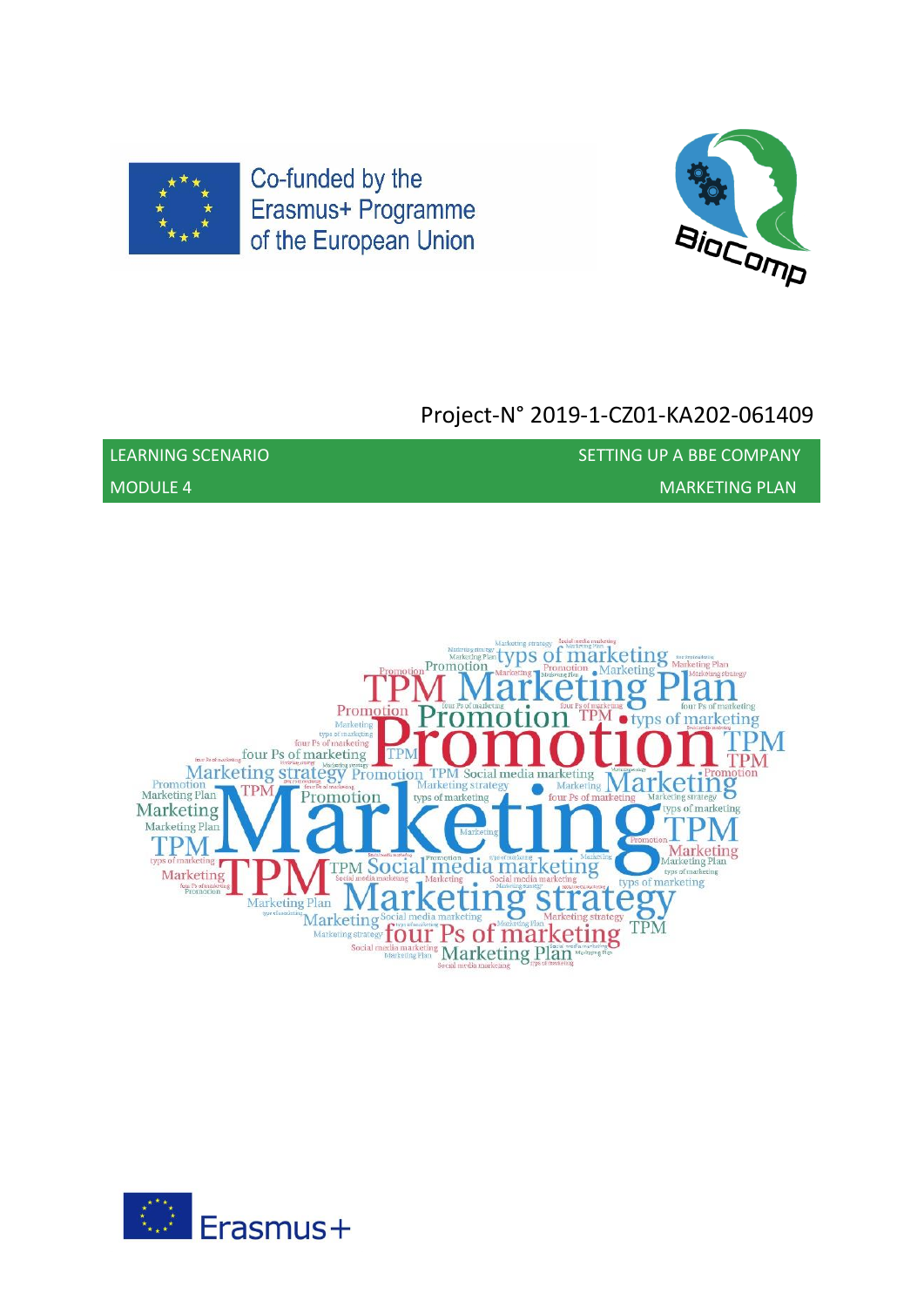



# Project-N° 2019-1-CZ01-KA202-061409

MODULE 4 MARKETING PLAN

LEARNING SCENARIO SETTING UP A BBE COMPANY



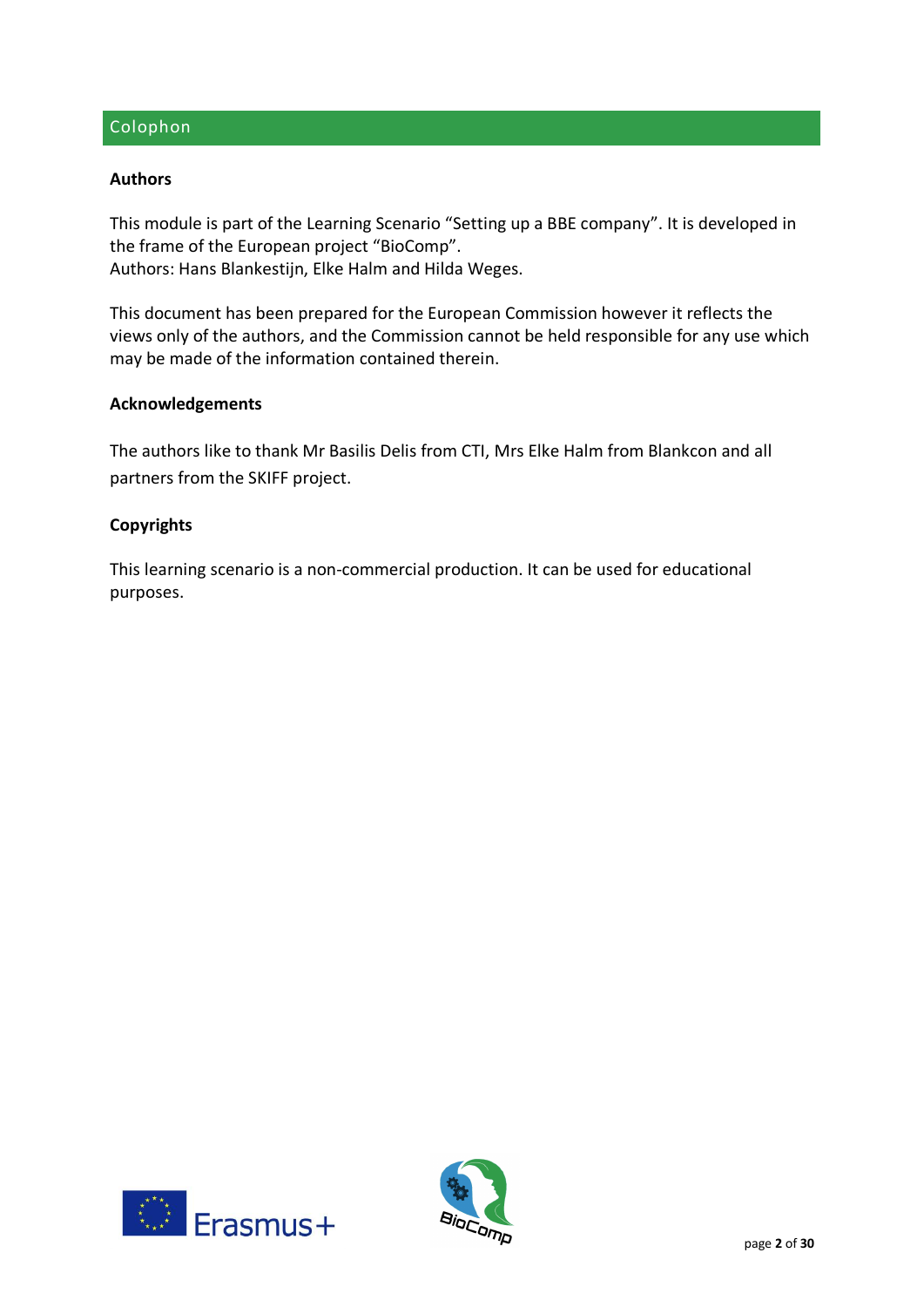## Colophon

#### **Authors**

This module is part of the Learning Scenario "Setting up a BBE company". It is developed in the frame of the European project "BioComp". Authors: Hans Blankestijn, Elke Halm and Hilda Weges.

This document has been prepared for the European Commission however it reflects the views only of the authors, and the Commission cannot be held responsible for any use which may be made of the information contained therein.

#### **Acknowledgements**

The authors like to thank Mr Basilis Delis from CTI, Mrs Elke Halm from Blankcon and all partners from the SKIFF project.

#### **Copyrights**

This learning scenario is a non-commercial production. It can be used for educational purposes.



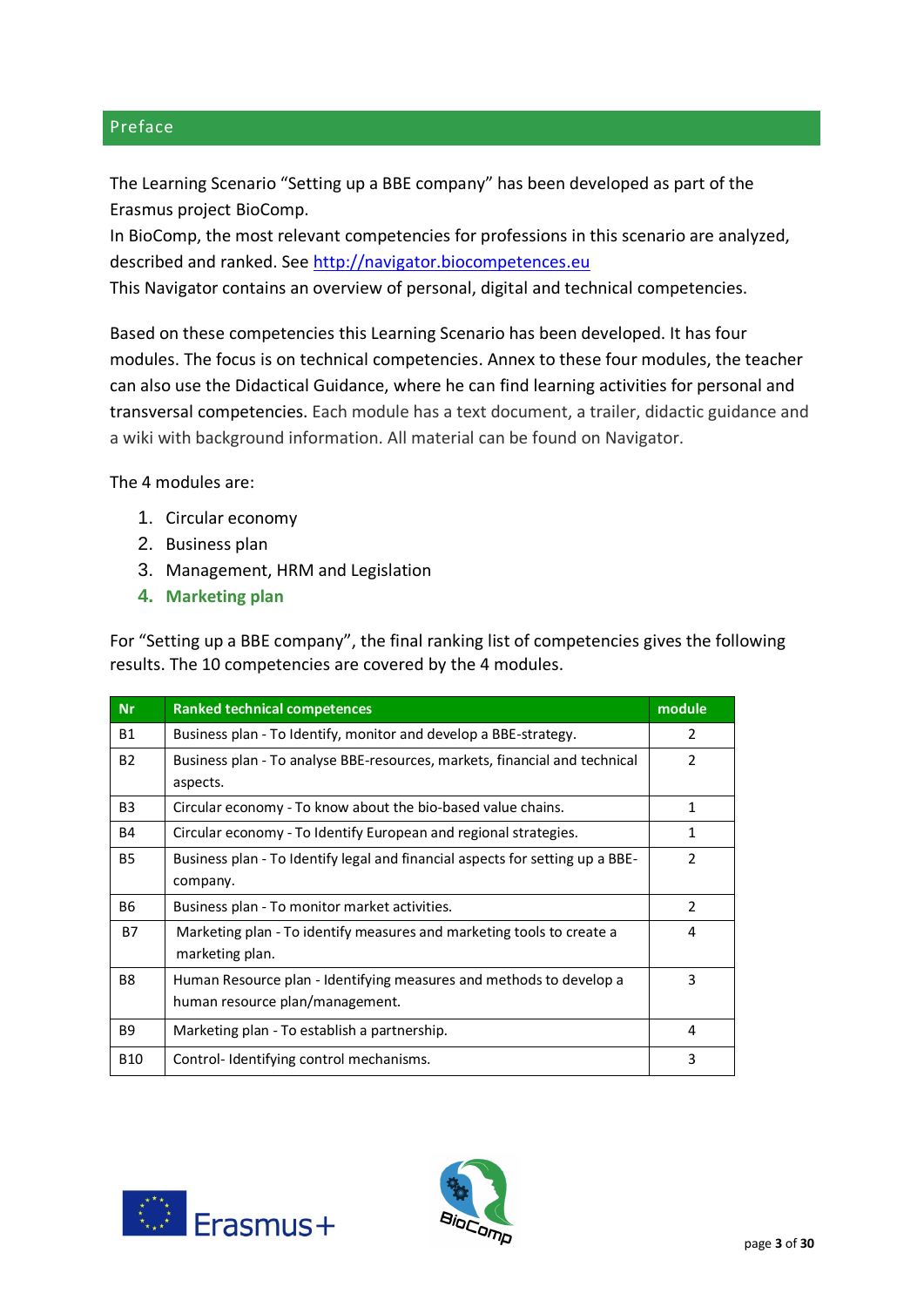## Preface

The Learning Scenario "Setting up a BBE company" has been developed as part of the Erasmus project BioComp.

In BioComp, the most relevant competencies for professions in this scenario are analyzed, described and ranked. See [http://navigator.biocompetences.eu](http://navigator.biocompetences.eu/)

This Navigator contains an overview of personal, digital and technical competencies.

Based on these competencies this Learning Scenario has been developed. It has four modules. The focus is on technical competencies. Annex to these four modules, the teacher can also use the Didactical Guidance, where he can find learning activities for personal and transversal competencies. Each module has a text document, a trailer, didactic guidance and a wiki with background information. All material can be found on Navigator.

The 4 modules are:

- 1. Circular economy
- 2. Business plan
- 3. Management, HRM and Legislation
- **4. Marketing plan**

For "Setting up a BBE company", the final ranking list of competencies gives the following results. The 10 competencies are covered by the 4 modules.

| <b>Nr</b>      | <b>Ranked technical competences</b>                                           | module        |
|----------------|-------------------------------------------------------------------------------|---------------|
| B1             | Business plan - To Identify, monitor and develop a BBE-strategy.              | $\mathcal{P}$ |
| <b>B2</b>      | Business plan - To analyse BBE-resources, markets, financial and technical    | $\mathcal{P}$ |
|                | aspects.                                                                      |               |
| B <sub>3</sub> | Circular economy - To know about the bio-based value chains.                  | 1             |
| <b>B4</b>      | Circular economy - To Identify European and regional strategies.              | 1             |
| <b>B5</b>      | Business plan - To Identify legal and financial aspects for setting up a BBE- | $\mathcal{P}$ |
|                | company.                                                                      |               |
| B6             | Business plan - To monitor market activities.                                 | $\mathcal{P}$ |
| <b>B7</b>      | Marketing plan - To identify measures and marketing tools to create a         | 4             |
|                | marketing plan.                                                               |               |
| B <sub>8</sub> | Human Resource plan - Identifying measures and methods to develop a           | 3             |
|                | human resource plan/management.                                               |               |
| <b>B9</b>      | Marketing plan - To establish a partnership.                                  | 4             |
| <b>B10</b>     | Control-Identifying control mechanisms.                                       | 3             |



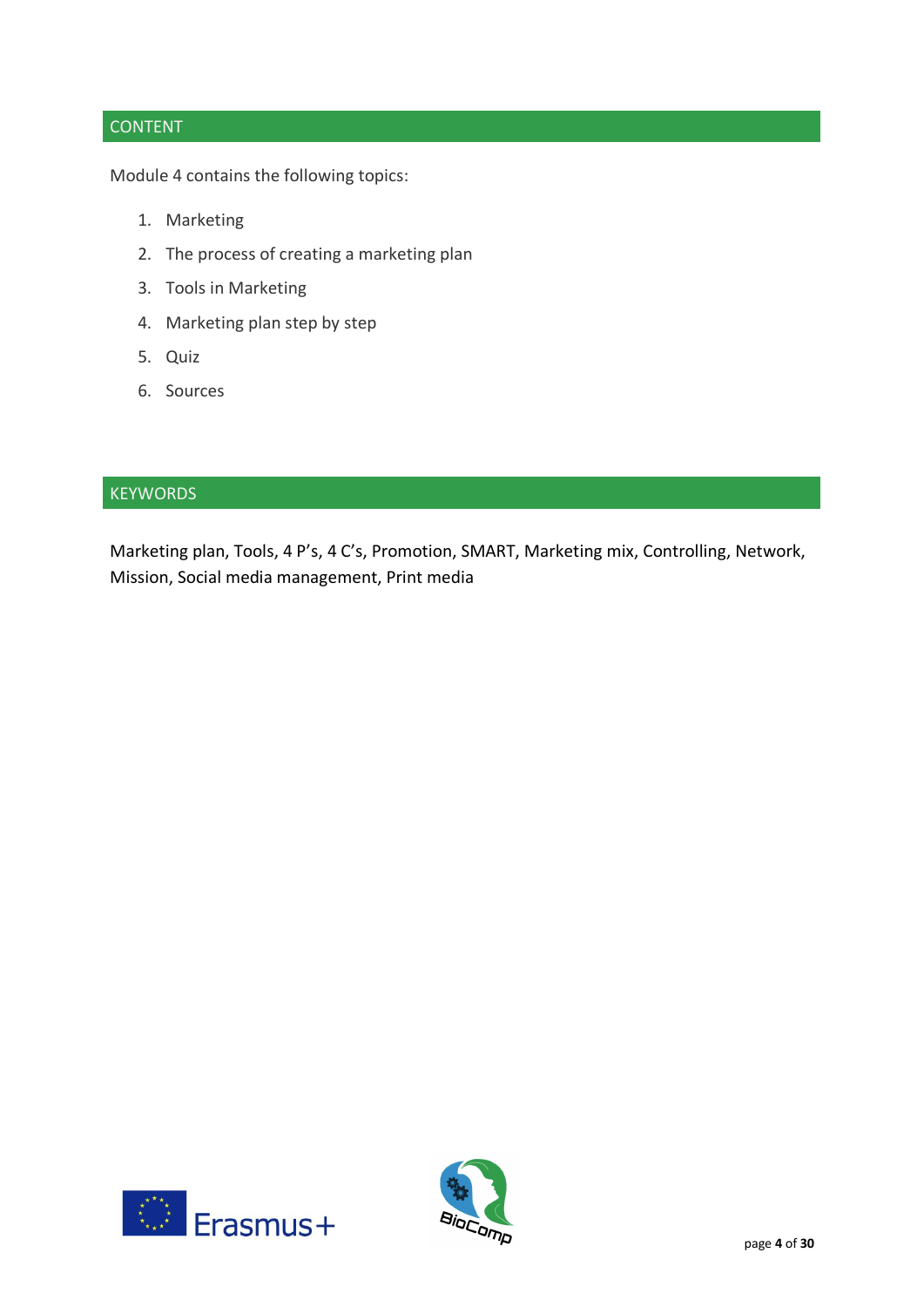# **CONTENT**

Module 4 contains the following topics:

- 1. Marketing
- 2. The process of creating a marketing plan
- 3. Tools in Marketing
- 4. Marketing plan step by step
- 5. Quiz
- 6. Sources

## **KEYWORDS**

Marketing plan, Tools, 4 P's, 4 C's, Promotion, SMART, Marketing mix, Controlling, Network, Mission, Social media management, Print media



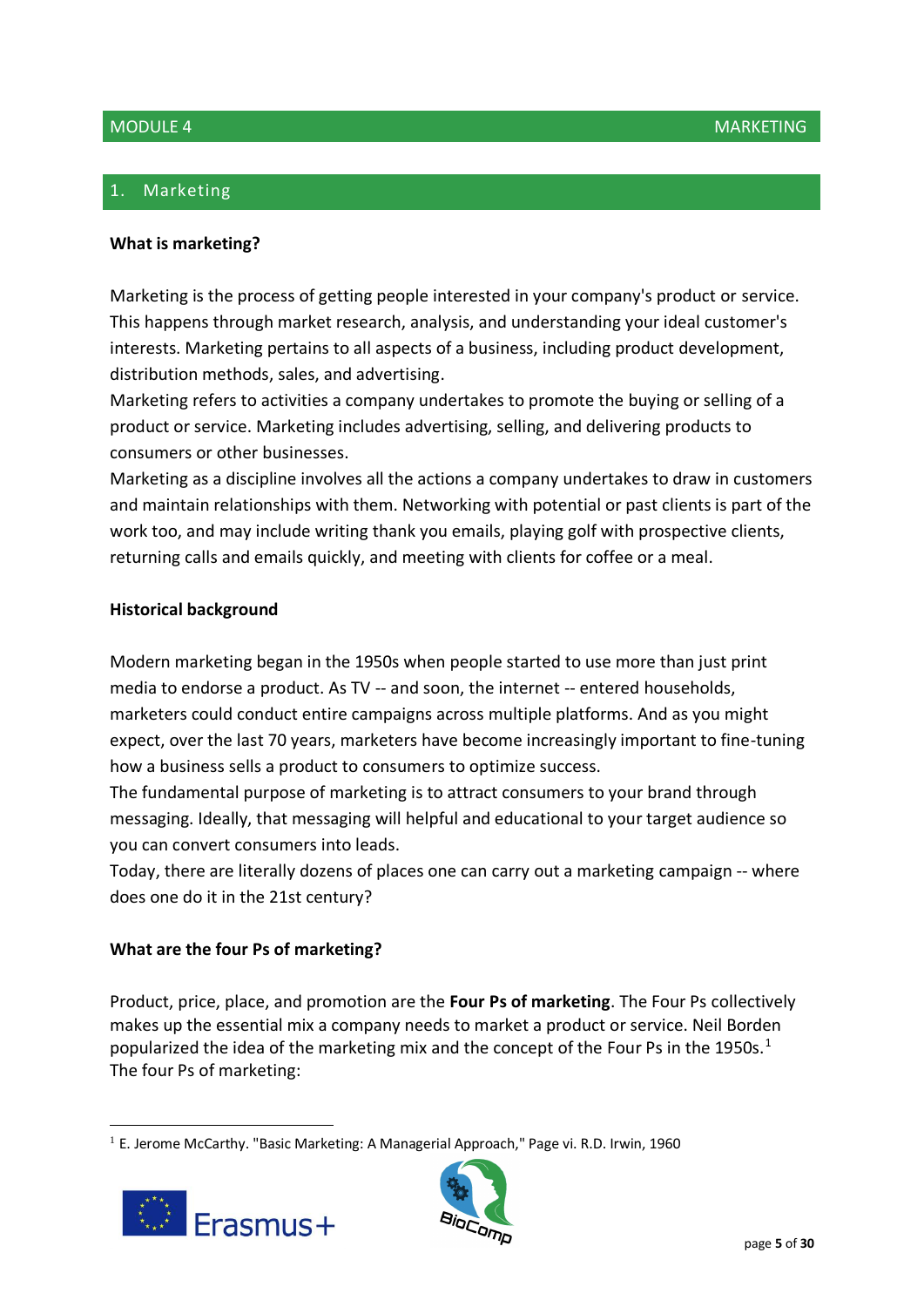# 1. Marketing

#### **What is marketing?**

Marketing is the process of getting people interested in your company's product or service. This happens through market research, analysis, and understanding your ideal customer's interests. Marketing pertains to all aspects of a business, including product development, distribution methods, sales, and advertising.

Marketing refers to activities a company undertakes to promote the buying or selling of a product or service. Marketing includes advertising, selling, and delivering products to consumers or other businesses.

Marketing as a discipline involves all the actions a company undertakes to draw in customers and maintain relationships with them. Networking with potential or past clients is part of the work too, and may include writing thank you emails, playing golf with prospective clients, returning calls and emails quickly, and meeting with clients for coffee or a meal.

## **Historical background**

Modern marketing began in the 1950s when people started to use more than just print media to endorse a product. As TV -- and soon, the internet -- entered households, marketers could conduct entire campaigns across multiple platforms. And as you might expect, over the last 70 years, marketers have become increasingly important to fine-tuning how a business sells a product to consumers to optimize success.

The fundamental purpose of marketing is to attract consumers to your brand through messaging. Ideally, that messaging will helpful and educational to your target audience so you can convert consumers into leads.

Today, there are literally dozens of places one can carry out a marketing campaign -- where does one do it in the 21st century?

## **What are the four Ps of marketing?**

Product, price, place, and promotion are the **Four Ps of marketing**. The Four Ps collectively makes up the essential mix a company needs to market a product or service. Neil Borden popularized the idea of the marketing mix and the concept of the Four Ps in the 1950s.<sup>1</sup> The four Ps of marketing:

 $<sup>1</sup>$  E. Jerome McCarthy. "Basic Marketing: A Managerial Approach," Page vi. R.D. Irwin, 1960</sup>



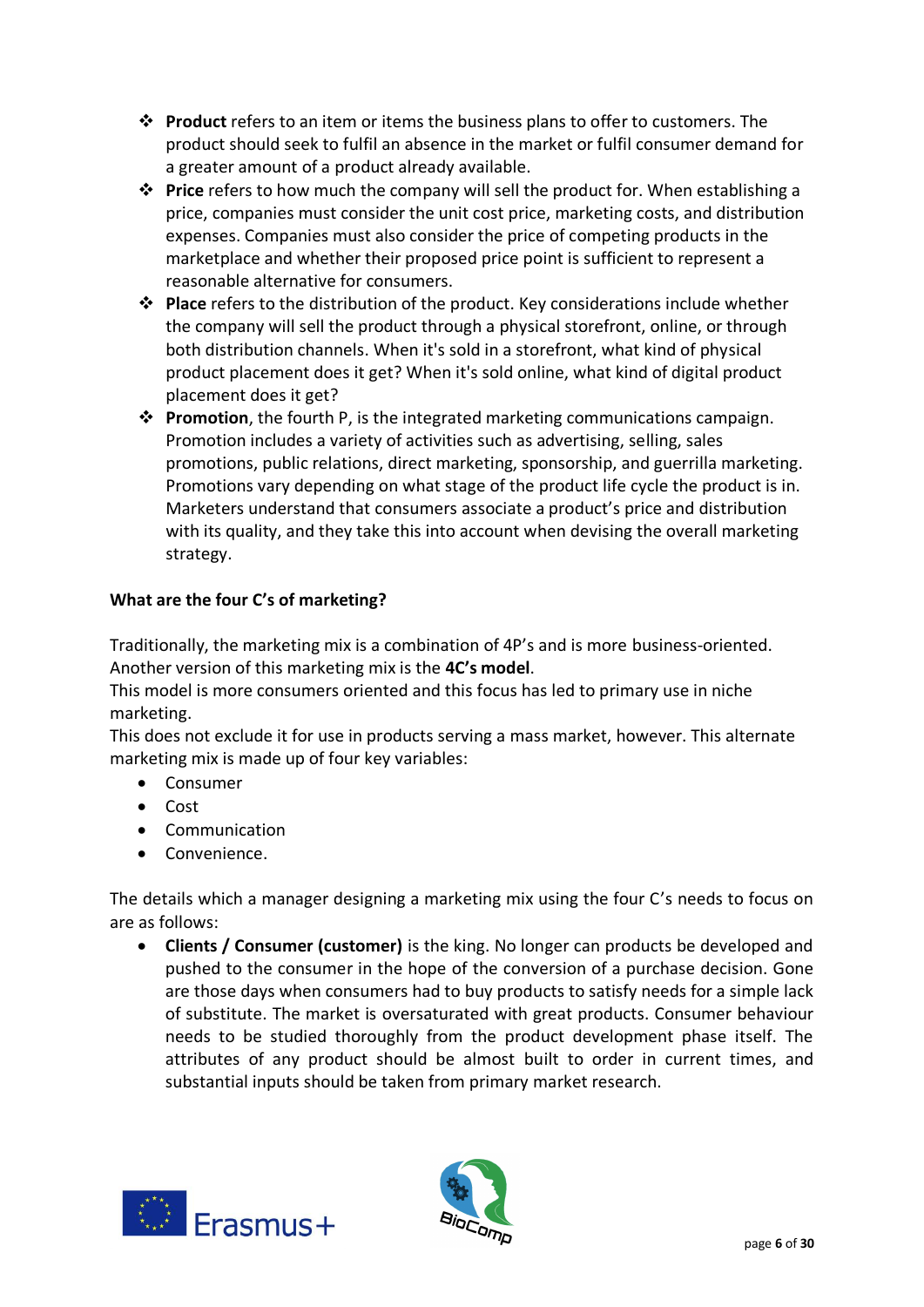- ❖ **Product** refers to an item or items the business plans to offer to customers. The product should seek to fulfil an absence in the market or fulfil consumer demand for a greater amount of a product already available.
- ❖ **Price** refers to how much the company will sell the product for. When establishing a price, companies must consider the unit cost price, marketing costs, and distribution expenses. Companies must also consider the price of competing products in the marketplace and whether their proposed price point is sufficient to represent a reasonable alternative for consumers.
- ❖ **Place** refers to the distribution of the product. Key considerations include whether the company will sell the product through a physical storefront, online, or through both distribution channels. When it's sold in a storefront, what kind of physical product placement does it get? When it's sold online, what kind of digital product placement does it get?
- ❖ **Promotion**, the fourth P, is the integrated marketing communications campaign. Promotion includes a variety of activities such as advertising, selling, sales promotions, public relations, direct marketing, sponsorship, and guerrilla marketing. Promotions vary depending on what stage of the product life cycle the product is in. Marketers understand that consumers associate a product's price and distribution with its quality, and they take this into account when devising the overall marketing strategy.

# **What are the four C's of marketing?**

Traditionally, the marketing mix is a combination of 4P's and is more business-oriented. Another version of this marketing mix is the **4C's model**.

This model is more consumers oriented and this focus has led to primary use in niche marketing.

This does not exclude it for use in products serving a mass market, however. This alternate marketing mix is made up of four key variables:

- Consumer
- Cost
- Communication
- Convenience.

The details which a manager designing a marketing mix using the four C's needs to focus on are as follows:

• **Clients / Consumer (customer)** is the king. No longer can products be developed and pushed to the consumer in the hope of the conversion of a purchase decision. Gone are those days when consumers had to buy products to satisfy needs for a simple lack of substitute. The market is oversaturated with great products. Consumer behaviour needs to be studied thoroughly from the product development phase itself. The attributes of any product should be almost built to order in current times, and substantial inputs should be taken from primary market research.



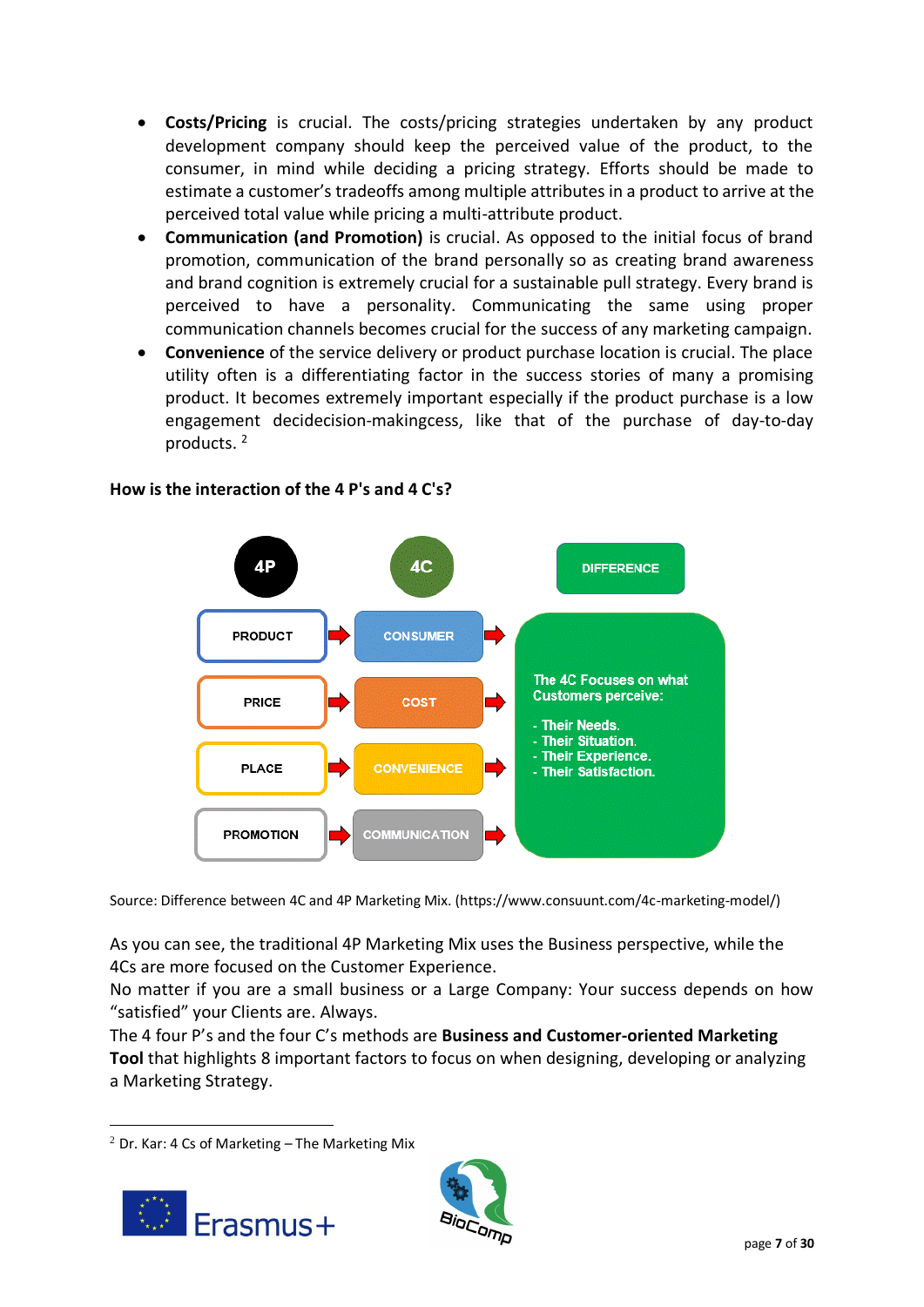- **Costs/Pricing** is crucial. The costs/pricing strategies undertaken by any product development company should keep the perceived value of the product, to the consumer, in mind while deciding a pricing strategy. Efforts should be made to estimate a customer's tradeoffs among multiple attributes in a product to arrive at the perceived total value while pricing a multi-attribute product.
- **Communication (and Promotion)** is crucial. As opposed to the initial focus of brand promotion, communication of the brand personally so as creating brand awareness and brand cognition is extremely crucial for a sustainable pull strategy. Every brand is perceived to have a personality. Communicating the same using proper communication channels becomes crucial for the success of any marketing campaign.
- **Convenience** of the service delivery or product purchase location is crucial. The place utility often is a differentiating factor in the success stories of many a promising product. It becomes extremely important especially if the product purchase is a low engagement decidecision-makingcess, like that of the purchase of day-to-day products. <sup>2</sup>



# **How is the interaction of the 4 P's and 4 C's?**

Source: Difference between 4C and 4P Marketing Mix. (https://www.consuunt.com/4c-marketing-model/)

As you can see, the traditional 4P Marketing Mix uses the Business perspective, while the 4Cs are more focused on the Customer Experience.

No matter if you are a small business or a Large Company: Your success depends on how "satisfied" your Clients are. Always.

The 4 four P's and the four C's methods are **Business and Customer-oriented Marketing Tool** that highlights 8 important factors to focus on when designing, developing or analyzing a Marketing Strategy.

 $2$  Dr. Kar: 4 Cs of Marketing  $-$  The Marketing Mix



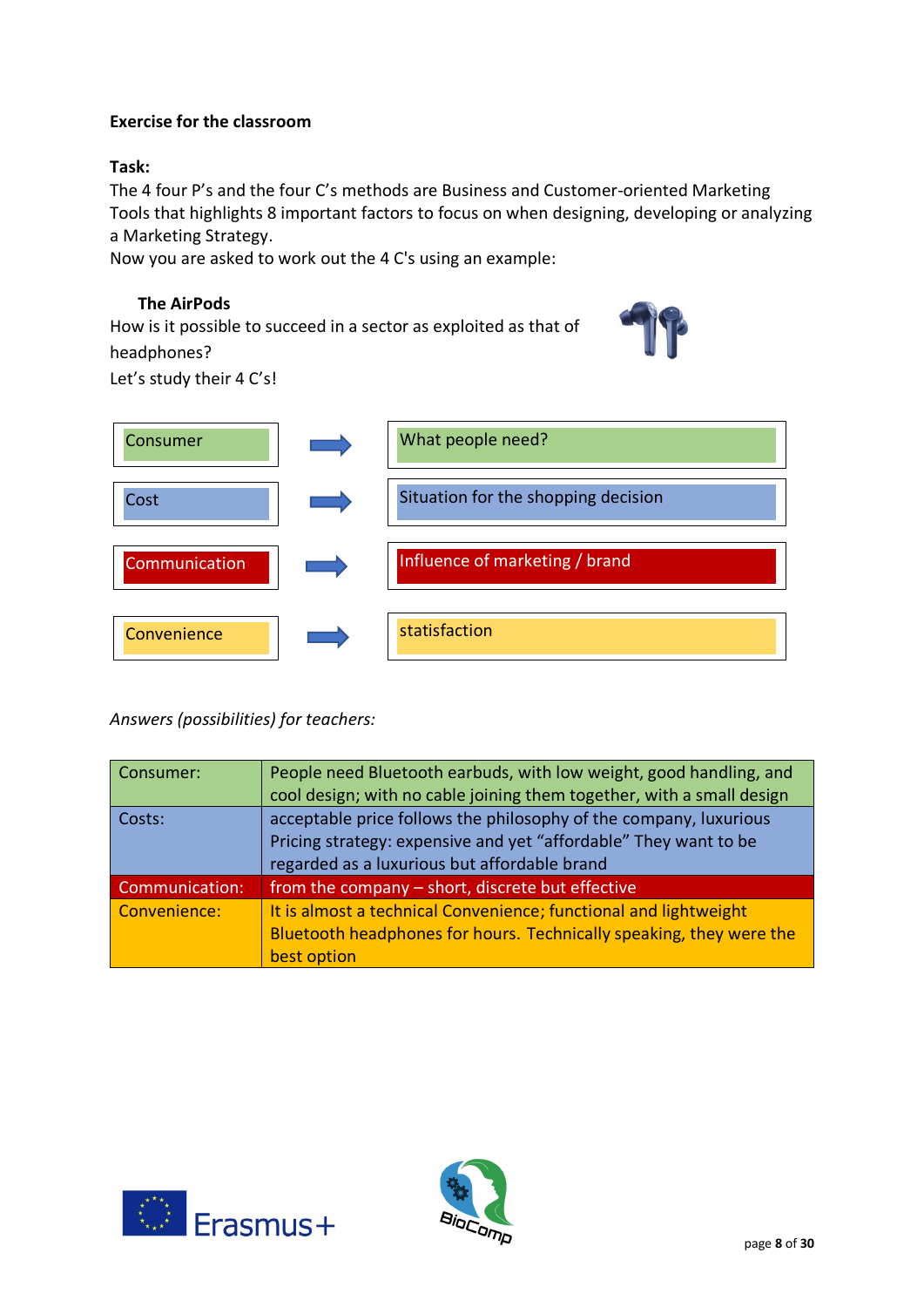## **Exercise for the classroom**

## **Task:**

The 4 four P's and the four C's methods are Business and Customer-oriented Marketing Tools that highlights 8 important factors to focus on when designing, developing or analyzing a Marketing Strategy.

Now you are asked to work out the 4 C's using an example:

# **The AirPods**

How is it possible to succeed in a sector as exploited as that of headphones?



Let's study their 4 C's!

| Consumer      | What people need?                   |
|---------------|-------------------------------------|
| Cost          | Situation for the shopping decision |
| Communication | Influence of marketing / brand      |
| Convenience   | statisfaction                       |

*Answers (possibilities) for teachers:*

| Consumer:      | People need Bluetooth earbuds, with low weight, good handling, and<br>cool design; with no cable joining them together, with a small design                                           |
|----------------|---------------------------------------------------------------------------------------------------------------------------------------------------------------------------------------|
| Costs:         | acceptable price follows the philosophy of the company, luxurious<br>Pricing strategy: expensive and yet "affordable" They want to be<br>regarded as a luxurious but affordable brand |
| Communication: | from the company - short, discrete but effective                                                                                                                                      |
| Convenience:   | It is almost a technical Convenience; functional and lightweight<br>Bluetooth headphones for hours. Technically speaking, they were the<br>best option                                |



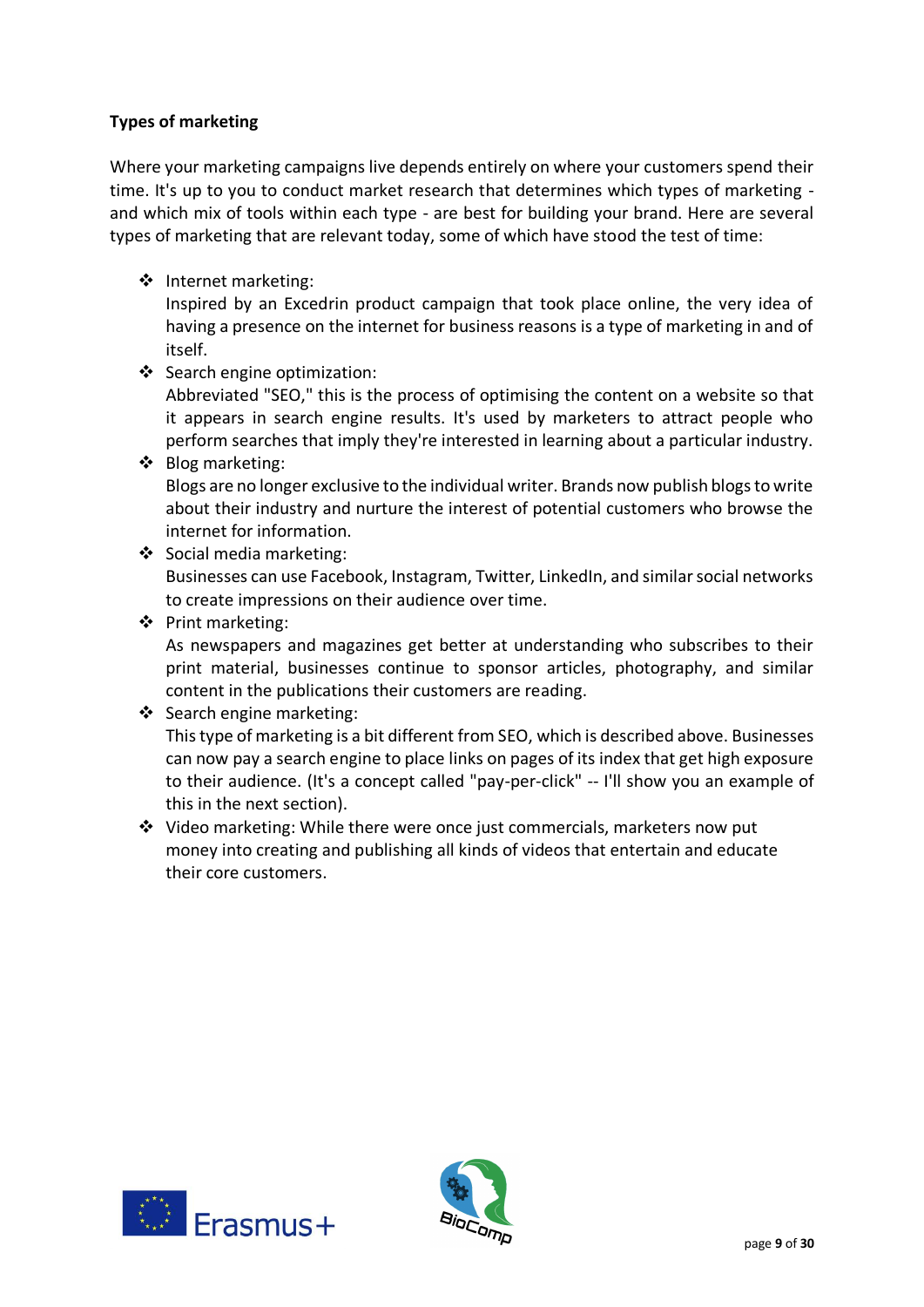## **Types of marketing**

Where your marketing campaigns live depends entirely on where your customers spend their time. It's up to you to conduct market research that determines which types of marketing and which mix of tools within each type - are best for building your brand. Here are several types of marketing that are relevant today, some of which have stood the test of time:

❖ Internet marketing:

Inspired by an Excedrin product campaign that took place online, the very idea of having a presence on the internet for business reasons is a type of marketing in and of itself.

- ❖ Search engine optimization: Abbreviated "SEO," this is the process of optimising the content on a website so that it appears in search engine results. It's used by marketers to attract people who perform searches that imply they're interested in learning about a particular industry.
- ❖ Blog marketing: Blogs are no longer exclusive to the individual writer. Brands now publish blogs to write about their industry and nurture the interest of potential customers who browse the internet for information.
- ❖ Social media marketing:

Businesses can use Facebook, Instagram, Twitter, LinkedIn, and similar social networks to create impressions on their audience over time.

❖ Print marketing:

As newspapers and magazines get better at understanding who subscribes to their print material, businesses continue to sponsor articles, photography, and similar content in the publications their customers are reading.

❖ Search engine marketing:

This type of marketing is a bit different from SEO, which is described above. Businesses can now pay a search engine to place links on pages of its index that get high exposure to their audience. (It's a concept called "pay-per-click" -- I'll show you an example of this in the next section).

❖ Video marketing: While there were once just commercials, marketers now put money into creating and publishing all kinds of videos that entertain and educate their core customers.



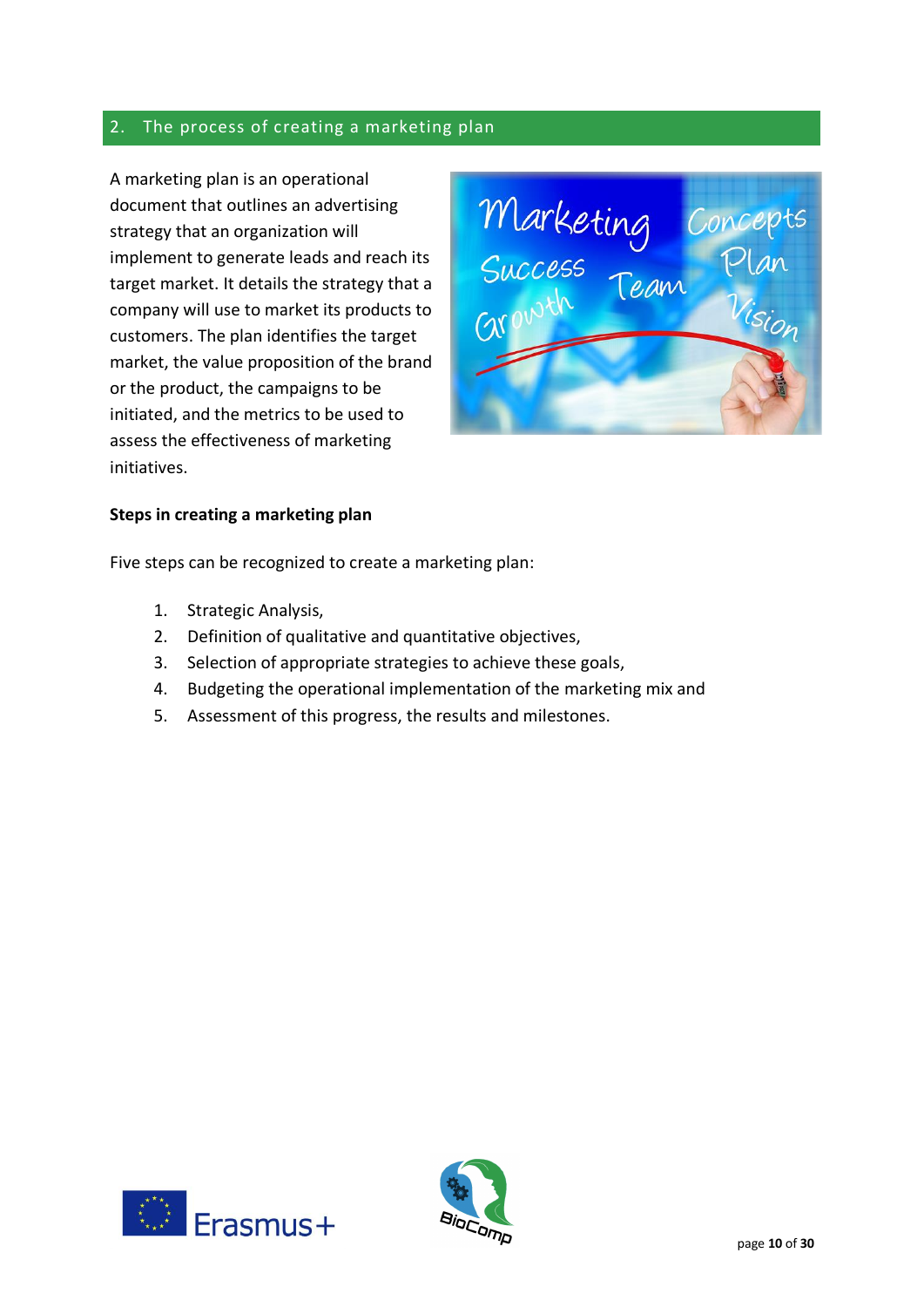# 2. The process of creating a marketing plan

A marketing plan is an operational document that outlines an advertising strategy that an organization will implement to generate leads and reach its target market. It details the strategy that a company will use to market its products to customers. The plan identifies the target market, the value proposition of the brand or the product, the campaigns to be initiated, and the metrics to be used to assess the effectiveness of marketing initiatives.



#### **Steps in creating a marketing plan**

Five steps can be recognized to create a marketing plan:

- 1. Strategic Analysis,
- 2. Definition of qualitative and quantitative objectives,
- 3. Selection of appropriate strategies to achieve these goals,
- 4. Budgeting the operational implementation of the marketing mix and
- 5. Assessment of this progress, the results and milestones.



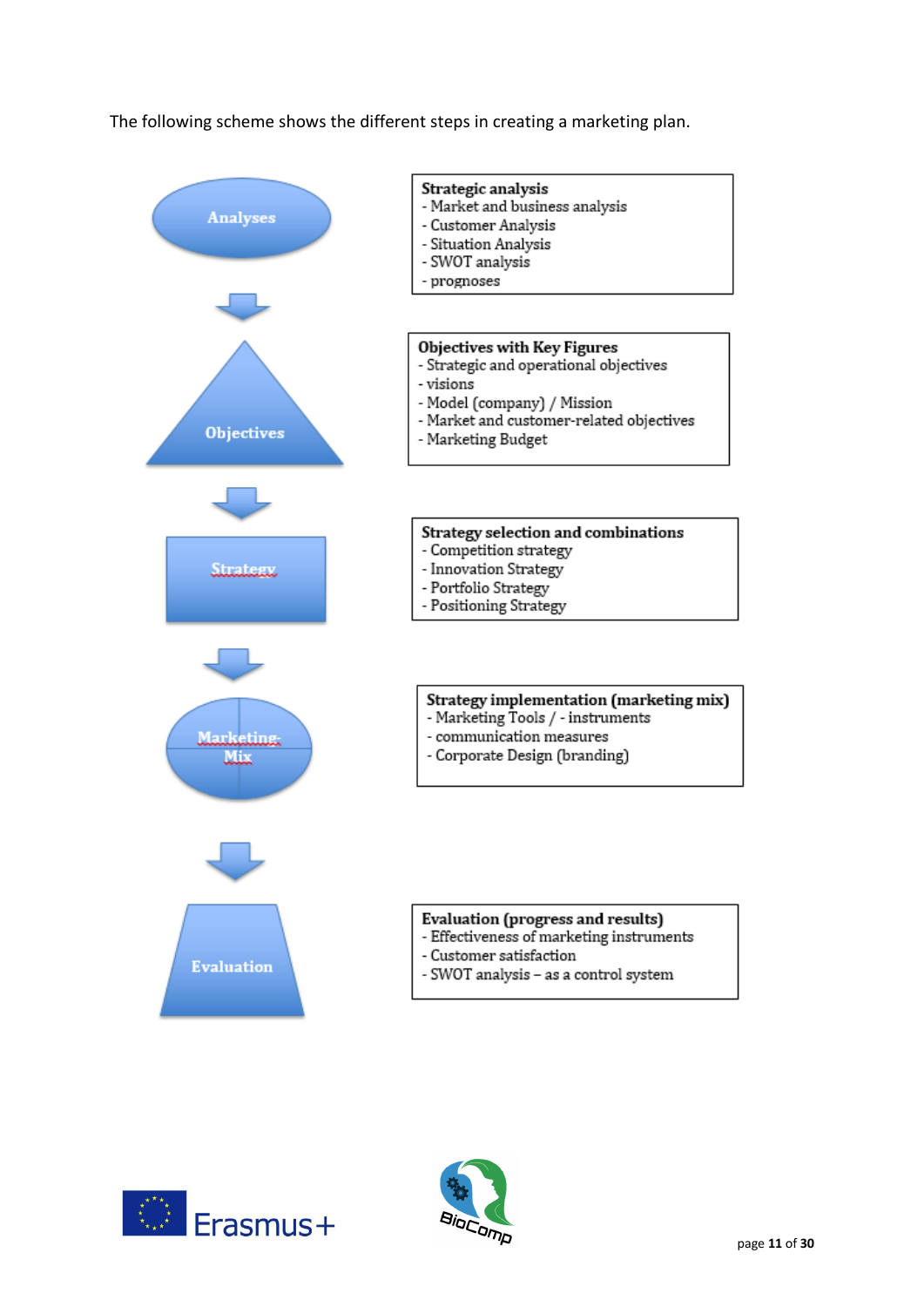The following scheme shows the different steps in creating a marketing plan.





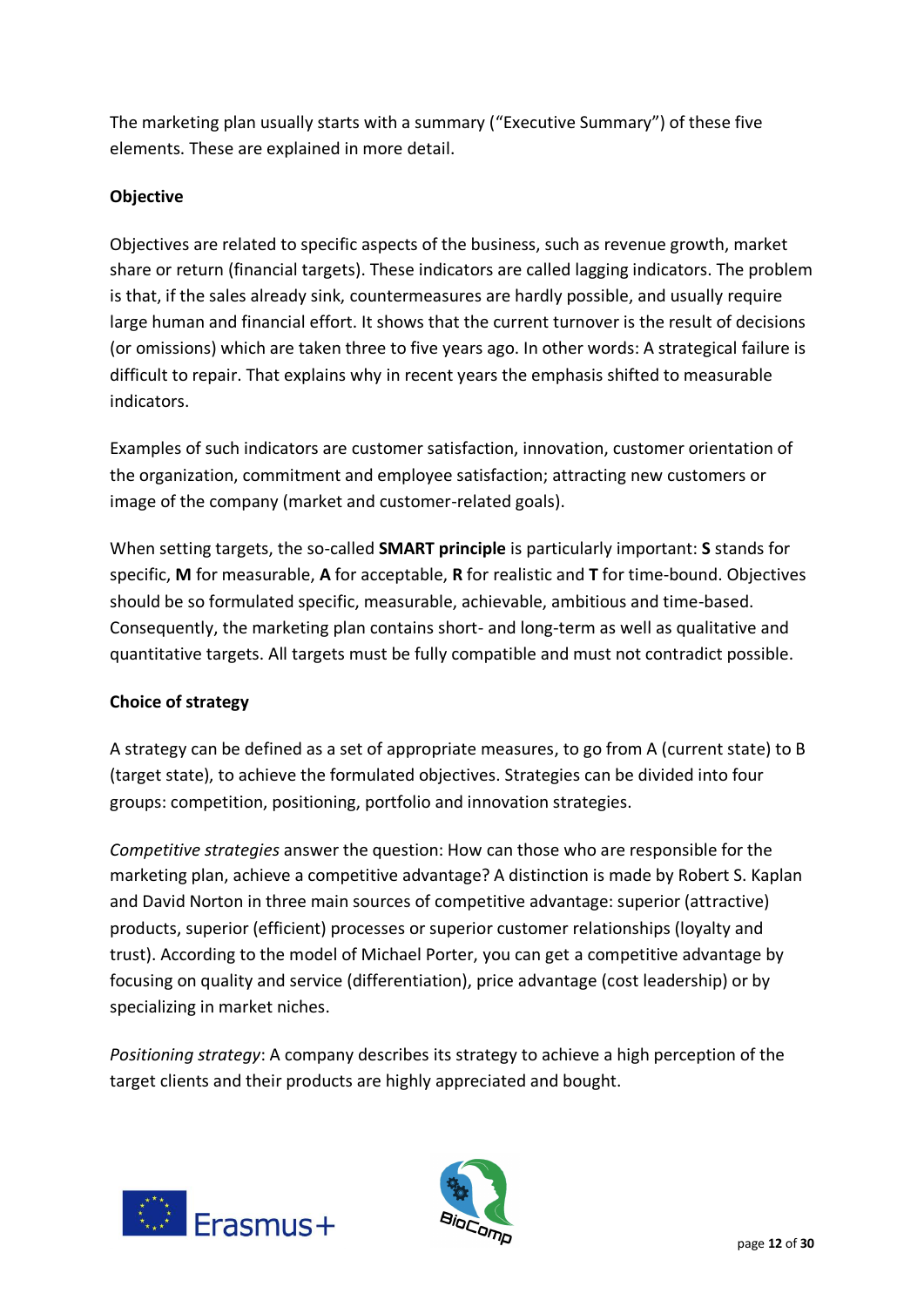The marketing plan usually starts with a summary ("Executive Summary") of these five elements. These are explained in more detail.

# **Objective**

Objectives are related to specific aspects of the business, such as revenue growth, market share or return (financial targets). These indicators are called lagging indicators. The problem is that, if the sales already sink, countermeasures are hardly possible, and usually require large human and financial effort. It shows that the current turnover is the result of decisions (or omissions) which are taken three to five years ago. In other words: A strategical failure is difficult to repair. That explains why in recent years the emphasis shifted to measurable indicators.

Examples of such indicators are customer satisfaction, innovation, customer orientation of the organization, commitment and employee satisfaction; attracting new customers or image of the company (market and customer-related goals).

When setting targets, the so-called **SMART principle** is particularly important: **S** stands for specific, **M** for measurable, **A** for acceptable, **R** for realistic and **T** for time-bound. Objectives should be so formulated specific, measurable, achievable, ambitious and time-based. Consequently, the marketing plan contains short- and long-term as well as qualitative and quantitative targets. All targets must be fully compatible and must not contradict possible.

## **Choice of strategy**

A strategy can be defined as a set of appropriate measures, to go from A (current state) to B (target state), to achieve the formulated objectives. Strategies can be divided into four groups: competition, positioning, portfolio and innovation strategies.

*Competitive strategies* answer the question: How can those who are responsible for the marketing plan, achieve a competitive advantage? A distinction is made by Robert S. Kaplan and David Norton in three main sources of competitive advantage: superior (attractive) products, superior (efficient) processes or superior customer relationships (loyalty and trust). According to the model of Michael Porter, you can get a competitive advantage by focusing on quality and service (differentiation), price advantage (cost leadership) or by specializing in market niches.

*Positioning strategy*: A company describes its strategy to achieve a high perception of the target clients and their products are highly appreciated and bought.



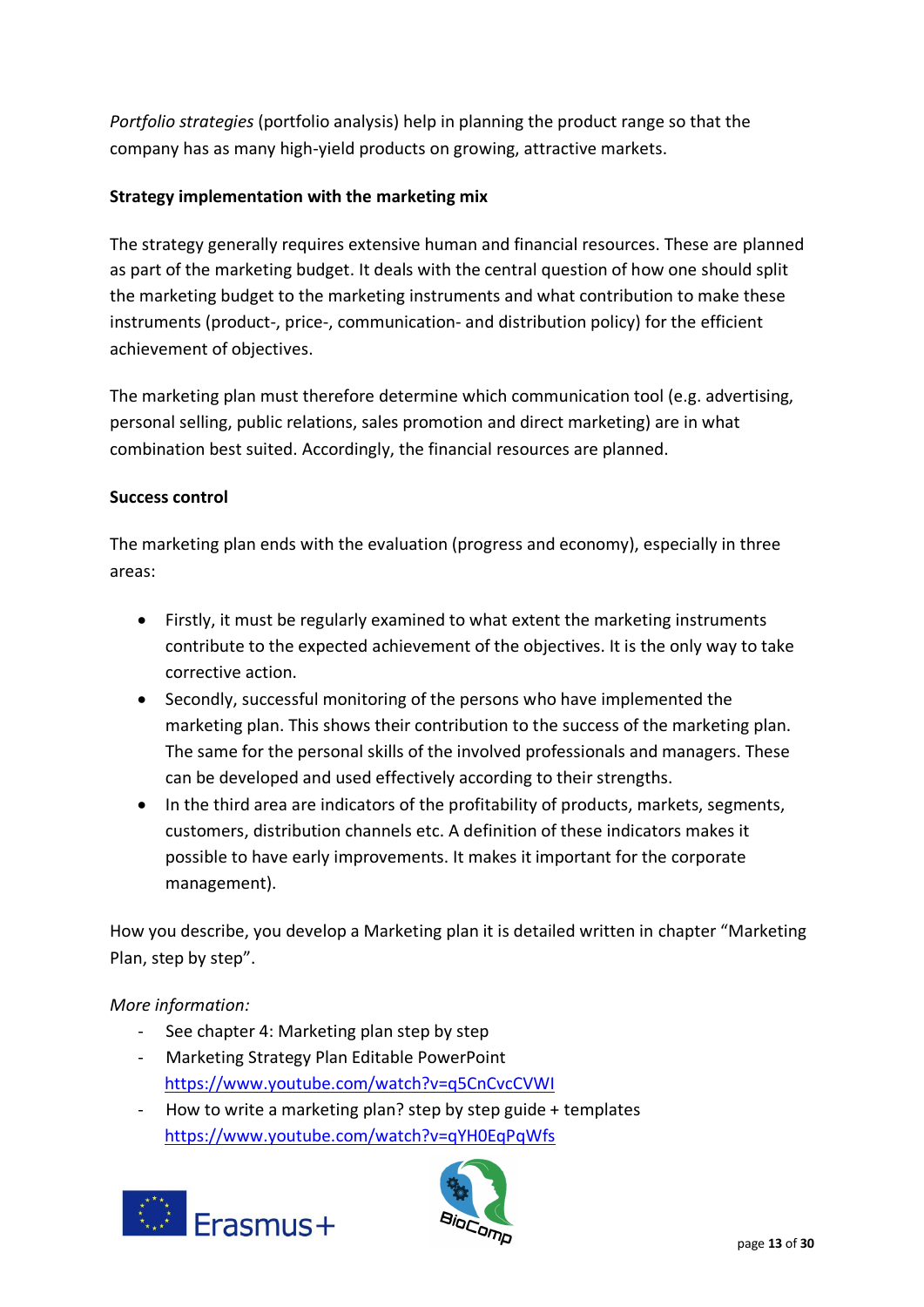*Portfolio strategies* (portfolio analysis) help in planning the product range so that the company has as many high-yield products on growing, attractive markets.

# **Strategy implementation with the marketing mix**

The strategy generally requires extensive human and financial resources. These are planned as part of the marketing budget. It deals with the central question of how one should split the marketing budget to the marketing instruments and what contribution to make these instruments (product-, price-, communication- and distribution policy) for the efficient achievement of objectives.

The marketing plan must therefore determine which communication tool (e.g. advertising, personal selling, public relations, sales promotion and direct marketing) are in what combination best suited. Accordingly, the financial resources are planned.

## **Success control**

The marketing plan ends with the evaluation (progress and economy), especially in three areas:

- Firstly, it must be regularly examined to what extent the marketing instruments contribute to the expected achievement of the objectives. It is the only way to take corrective action.
- Secondly, successful monitoring of the persons who have implemented the marketing plan. This shows their contribution to the success of the marketing plan. The same for the personal skills of the involved professionals and managers. These can be developed and used effectively according to their strengths.
- In the third area are indicators of the profitability of products, markets, segments, customers, distribution channels etc. A definition of these indicators makes it possible to have early improvements. It makes it important for the corporate management).

How you describe, you develop a Marketing plan it is detailed written in chapter "Marketing Plan, step by step".

## *More information:*

- See chapter 4: Marketing plan step by step
- Marketing Strategy Plan Editable PowerPoint <https://www.youtube.com/watch?v=q5CnCvcCVWI>
- How to write a marketing plan? step by step guide + templates <https://www.youtube.com/watch?v=qYH0EqPqWfs>



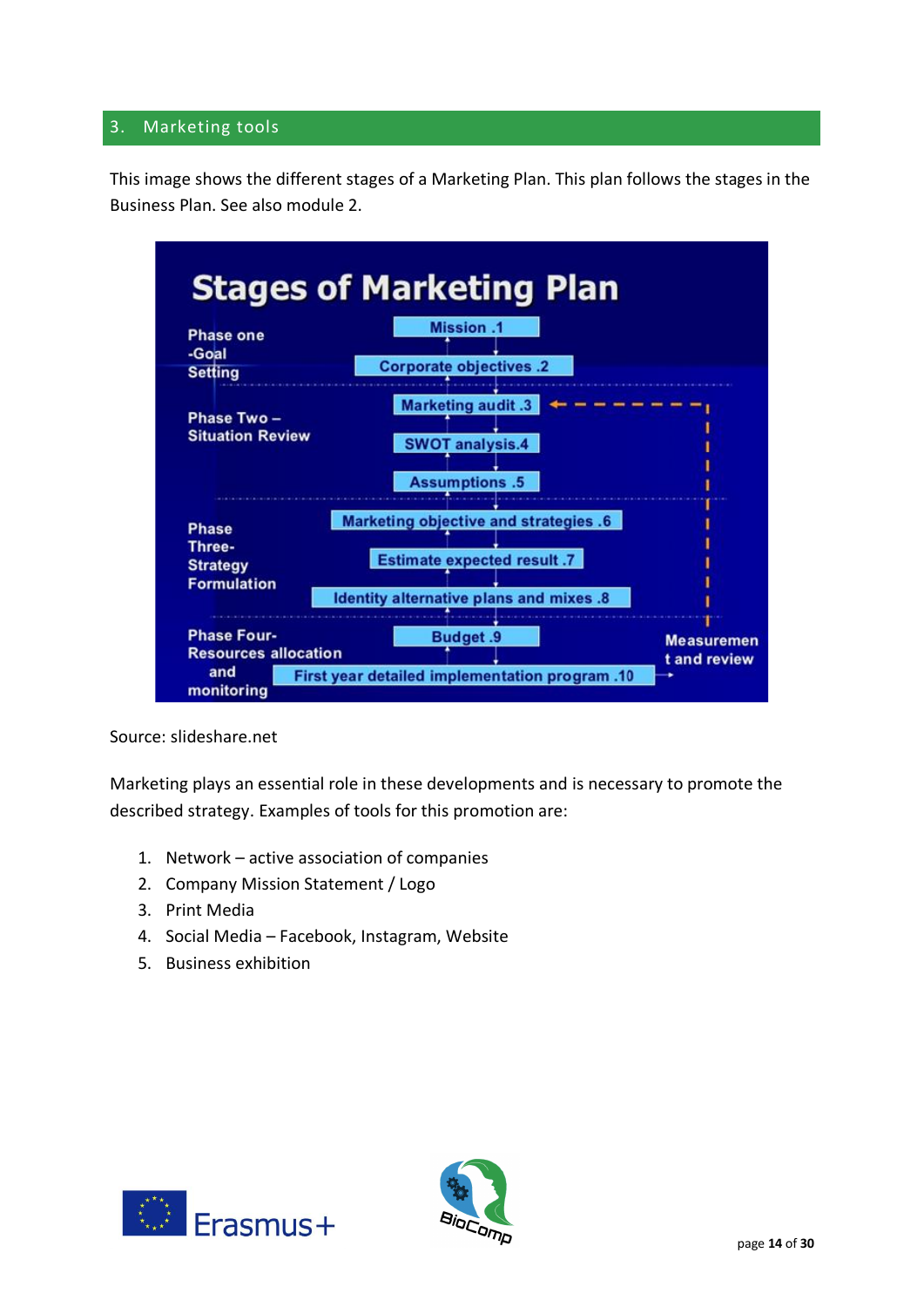# 3. Marketing tools

This image shows the different stages of a Marketing Plan. This plan follows the stages in the Business Plan. See also module 2.



Source: slideshare.net

Marketing plays an essential role in these developments and is necessary to promote the described strategy. Examples of tools for this promotion are:

- 1. Network active association of companies
- 2. Company Mission Statement / Logo
- 3. Print Media
- 4. Social Media Facebook, Instagram, Website
- 5. Business exhibition



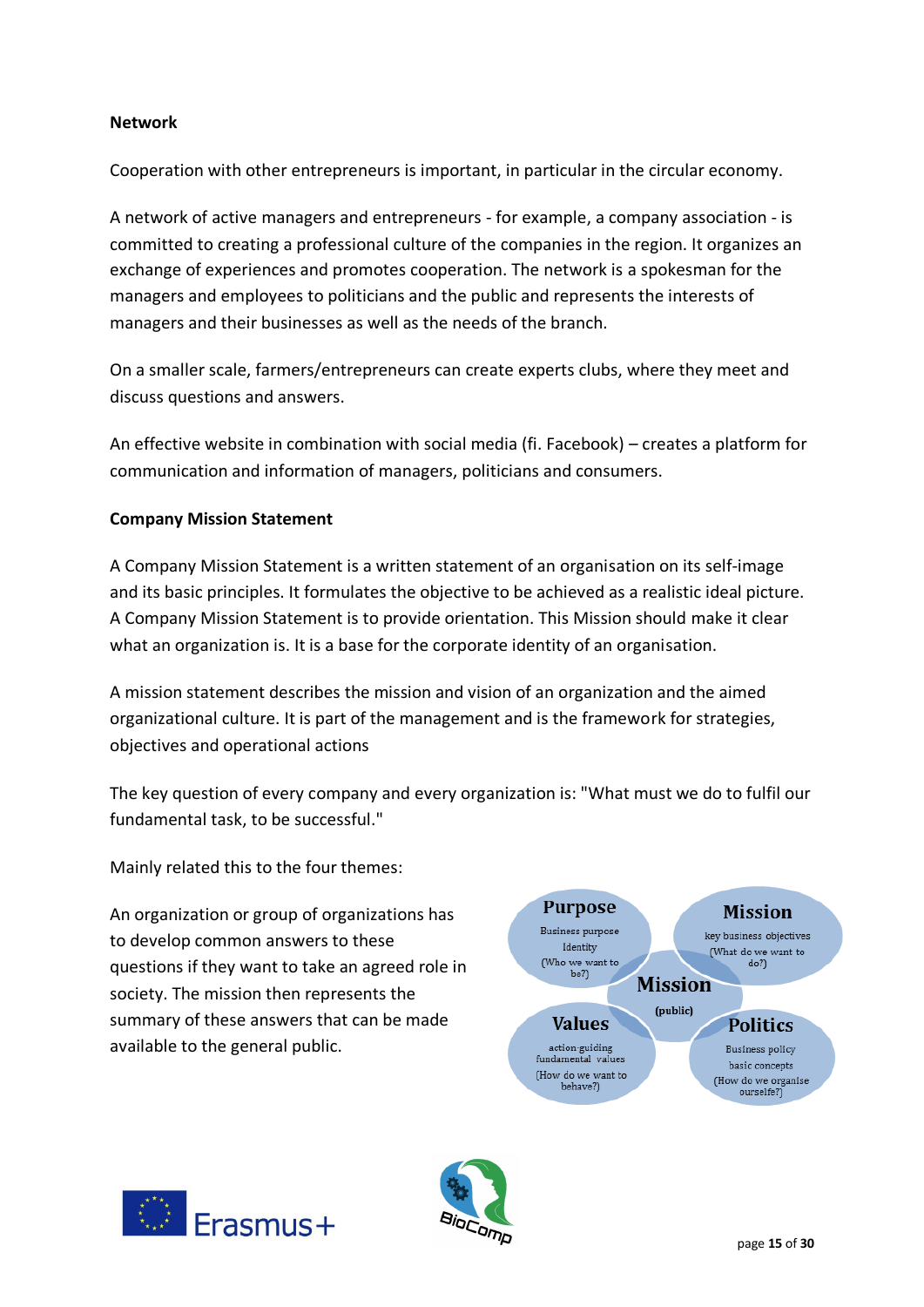## **Network**

Cooperation with other entrepreneurs is important, in particular in the circular economy.

A network of active managers and entrepreneurs - for example, a company association - is committed to creating a professional culture of the companies in the region. It organizes an exchange of experiences and promotes cooperation. The network is a spokesman for the managers and employees to politicians and the public and represents the interests of managers and their businesses as well as the needs of the branch.

On a smaller scale, farmers/entrepreneurs can create experts clubs, where they meet and discuss questions and answers.

An effective website in combination with social media (fi. Facebook) – creates a platform for communication and information of managers, politicians and consumers.

## **Company Mission Statement**

A Company Mission Statement is a written statement of an organisation on its self-image and its basic principles. It formulates the objective to be achieved as a realistic ideal picture. A Company Mission Statement is to provide orientation. This Mission should make it clear what an organization is. It is a base for the corporate identity of an organisation.

A mission statement describes the mission and vision of an organization and the aimed organizational culture. It is part of the management and is the framework for strategies, objectives and operational actions

The key question of every company and every organization is: "What must we do to fulfil our fundamental task, to be successful."

Mainly related this to the four themes:

An organization or group of organizations has to develop common answers to these questions if they want to take an agreed role in society. The mission then represents the summary of these answers that can be made available to the general public.



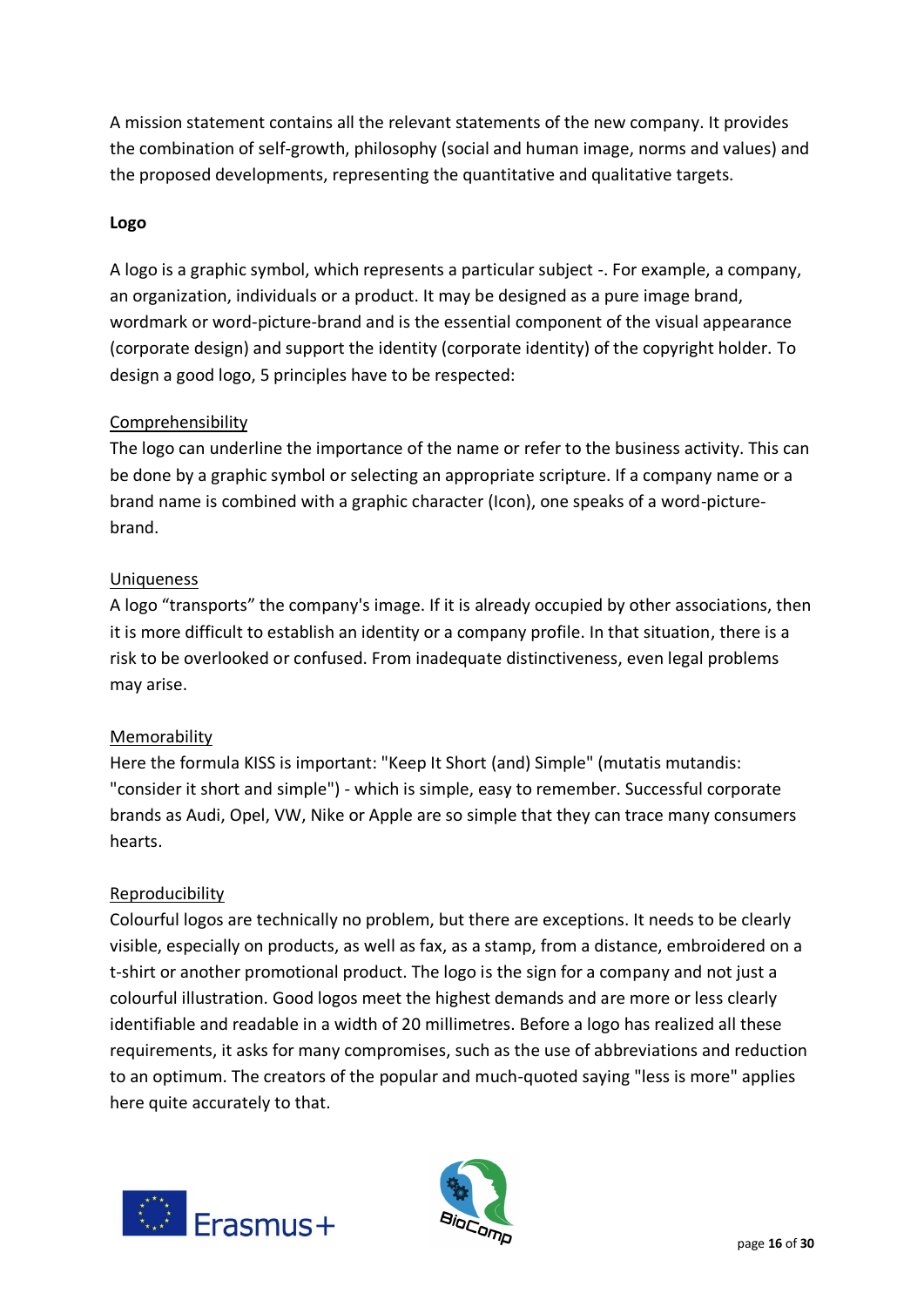A mission statement contains all the relevant statements of the new company. It provides the combination of self-growth, philosophy (social and human image, norms and values) and the proposed developments, representing the quantitative and qualitative targets.

## **Logo**

A logo is a graphic symbol, which represents a particular subject -. For example, a company, an organization, individuals or a product. It may be designed as a pure image brand, wordmark or word-picture-brand and is the essential component of the visual appearance (corporate design) and support the identity (corporate identity) of the copyright holder. To design a good logo, 5 principles have to be respected:

## Comprehensibility

The logo can underline the importance of the name or refer to the business activity. This can be done by a graphic symbol or selecting an appropriate scripture. If a company name or a brand name is combined with a graphic character (Icon), one speaks of a word-picturebrand.

## Uniqueness

A logo "transports" the company's image. If it is already occupied by other associations, then it is more difficult to establish an identity or a company profile. In that situation, there is a risk to be overlooked or confused. From inadequate distinctiveness, even legal problems may arise.

## Memorability

Here the formula KISS is important: "Keep It Short (and) Simple" (mutatis mutandis: "consider it short and simple") - which is simple, easy to remember. Successful corporate brands as Audi, Opel, VW, Nike or Apple are so simple that they can trace many consumers hearts.

#### Reproducibility

Colourful logos are technically no problem, but there are exceptions. It needs to be clearly visible, especially on products, as well as fax, as a stamp, from a distance, embroidered on a t-shirt or another promotional product. The logo is the sign for a company and not just a colourful illustration. Good logos meet the highest demands and are more or less clearly identifiable and readable in a width of 20 millimetres. Before a logo has realized all these requirements, it asks for many compromises, such as the use of abbreviations and reduction to an optimum. The creators of the popular and much-quoted saying "less is more" applies here quite accurately to that.



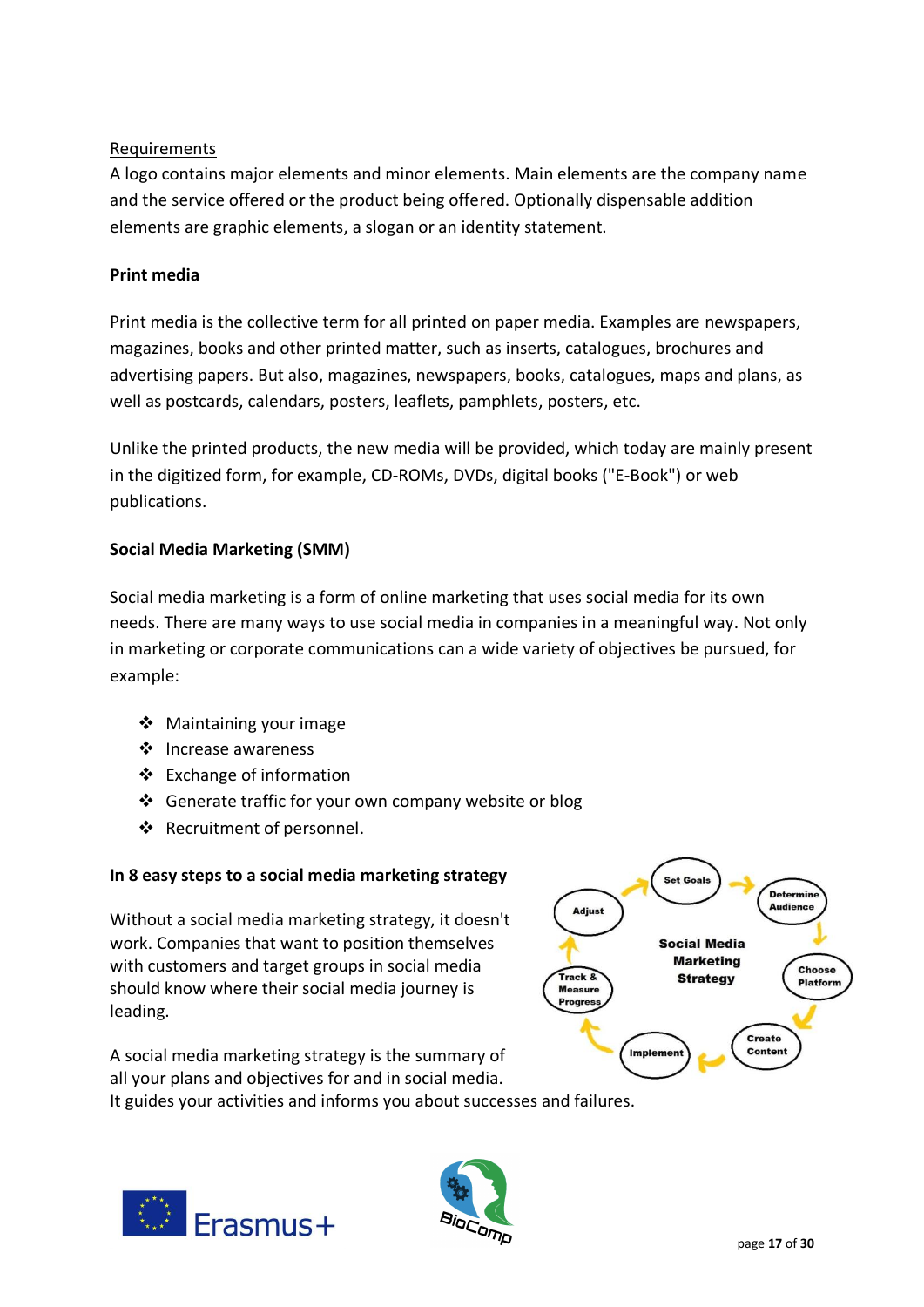# Requirements

A logo contains major elements and minor elements. Main elements are the company name and the service offered or the product being offered. Optionally dispensable addition elements are graphic elements, a slogan or an identity statement.

## **Print media**

Print media is the collective term for all printed on paper media. Examples are newspapers, magazines, books and other printed matter, such as inserts, catalogues, brochures and advertising papers. But also, magazines, newspapers, books, catalogues, maps and plans, as well as postcards, calendars, posters, leaflets, pamphlets, posters, etc.

Unlike the printed products, the new media will be provided, which today are mainly present in the digitized form, for example, CD-ROMs, DVDs, digital books ("E-Book") or web publications.

## **Social Media Marketing (SMM)**

Social media marketing is a form of online marketing that uses social media for its own needs. There are many ways to use social media in companies in a meaningful way. Not only in marketing or corporate communications can a wide variety of objectives be pursued, for example:

- ❖ Maintaining your image
- ❖ Increase awareness
- ❖ Exchange of information
- ❖ Generate traffic for your own company website or blog
- ❖ Recruitment of personnel.

## **In 8 easy steps to a social media marketing strategy**

Without a social media marketing strategy, it doesn't work. Companies that want to position themselves with customers and target groups in social media should know where their social media journey is leading.

A social media marketing strategy is the summary of all your plans and objectives for and in social media.

It guides your activities and informs you about successes and failures.





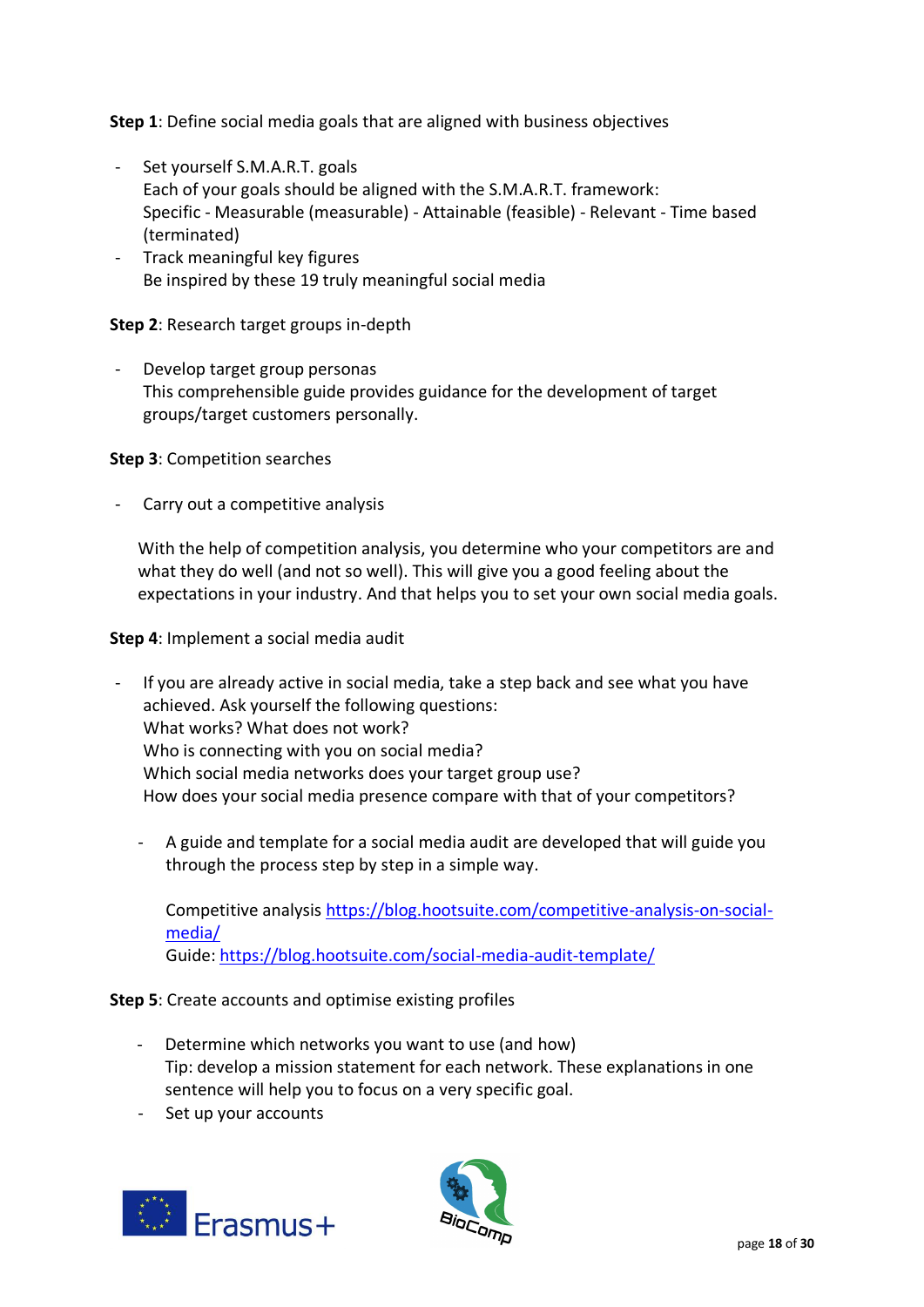**Step 1**: Define social media goals that are aligned with business objectives

- Set yourself S.M.A.R.T. goals Each of your goals should be aligned with the S.M.A.R.T. framework: Specific - Measurable (measurable) - Attainable (feasible) - Relevant - Time based (terminated)
- Track meaningful key figures Be inspired by these 19 truly meaningful social media

## **Step 2**: Research target groups in-depth

- Develop target group personas This comprehensible guide provides guidance for the development of target groups/target customers personally.

**Step 3**: Competition searches

- Carry out a competitive analysis

With the help of competition analysis, you determine who your competitors are and what they do well (and not so well). This will give you a good feeling about the expectations in your industry. And that helps you to set your own social media goals.

**Step 4**: Implement a social media audit

- If you are already active in social media, take a step back and see what you have achieved. Ask yourself the following questions: What works? What does not work? Who is connecting with you on social media? Which social media networks does your target group use? How does your social media presence compare with that of your competitors?
	- A guide and template for a social media audit are developed that will guide you through the process step by step in a simple way.

Competitive analysis [https://blog.hootsuite.com/competitive-analysis-on-social](https://blog.hootsuite.com/competitive-analysis-on-social-media/)[media/](https://blog.hootsuite.com/competitive-analysis-on-social-media/) Guide[: https://blog.hootsuite.com/social-media-audit-template/](https://blog.hootsuite.com/social-media-audit-template/)

**Step 5**: Create accounts and optimise existing profiles

- Determine which networks you want to use (and how) Tip: develop a mission statement for each network. These explanations in one sentence will help you to focus on a very specific goal.
- Set up your accounts



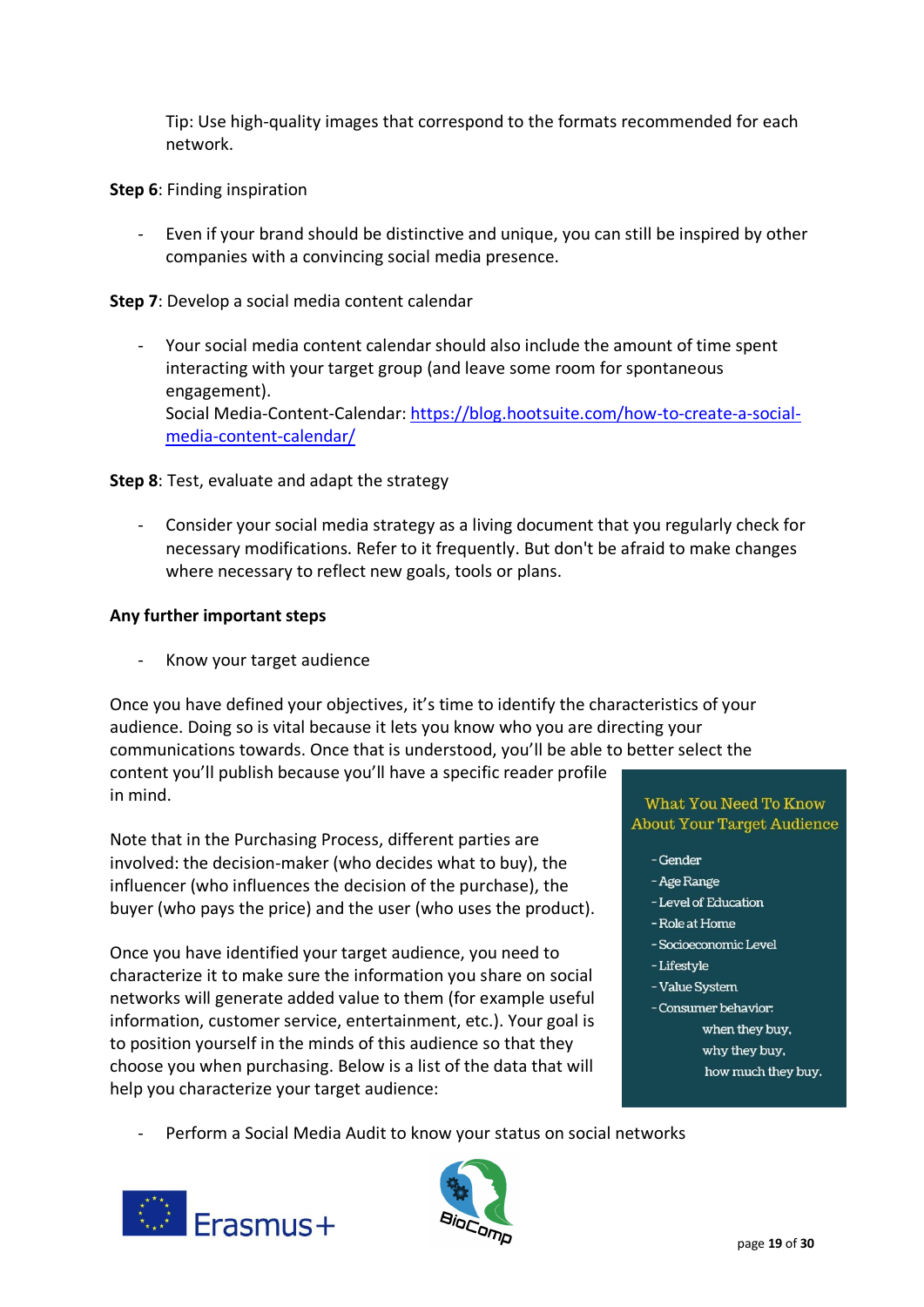Tip: Use high-quality images that correspond to the formats recommended for each network.

#### **Step 6**: Finding inspiration

- Even if your brand should be distinctive and unique, you can still be inspired by other companies with a convincing social media presence.

**Step 7**: Develop a social media content calendar

- Your social media content calendar should also include the amount of time spent interacting with your target group (and leave some room for spontaneous engagement). Social Media-Content-Calendar: [https://blog.hootsuite.com/how-to-create-a-social](https://blog.hootsuite.com/how-to-create-a-social-media-content-calendar/)[media-content-calendar/](https://blog.hootsuite.com/how-to-create-a-social-media-content-calendar/)

#### **Step 8**: Test, evaluate and adapt the strategy

- Consider your social media strategy as a living document that you regularly check for necessary modifications. Refer to it frequently. But don't be afraid to make changes where necessary to reflect new goals, tools or plans.

#### **Any further important steps**

Know your target audience

Once you have defined your objectives, it's time to identify the characteristics of your audience. Doing so is vital because it lets you know who you are directing your communications towards. Once that is understood, you'll be able to better select the content you'll publish because you'll have a specific reader profile in mind.

Note that in the Purchasing Process, different parties are involved: the decision-maker (who decides what to buy), the influencer (who influences the decision of the purchase), the buyer (who pays the price) and the user (who uses the product).

Once you have identified your target audience, you need to characterize it to make sure the information you share on social networks will generate added value to them (for example useful information, customer service, entertainment, etc.). Your goal is to position yourself in the minds of this audience so that they choose you when purchasing. Below is a list of the data that will help you characterize your target audience:

#### What You Need To Know **About Your Target Audience**

- Gender
- Age Range
- Level of Education
- Role at Home
- Socioeconomic Level
- -Lifestyle
- Value System
- Consumer behavior:
	- when they buy,
	- why they buy,
	- how much they buy.
- Perform a Social Media Audit to know your status on social networks



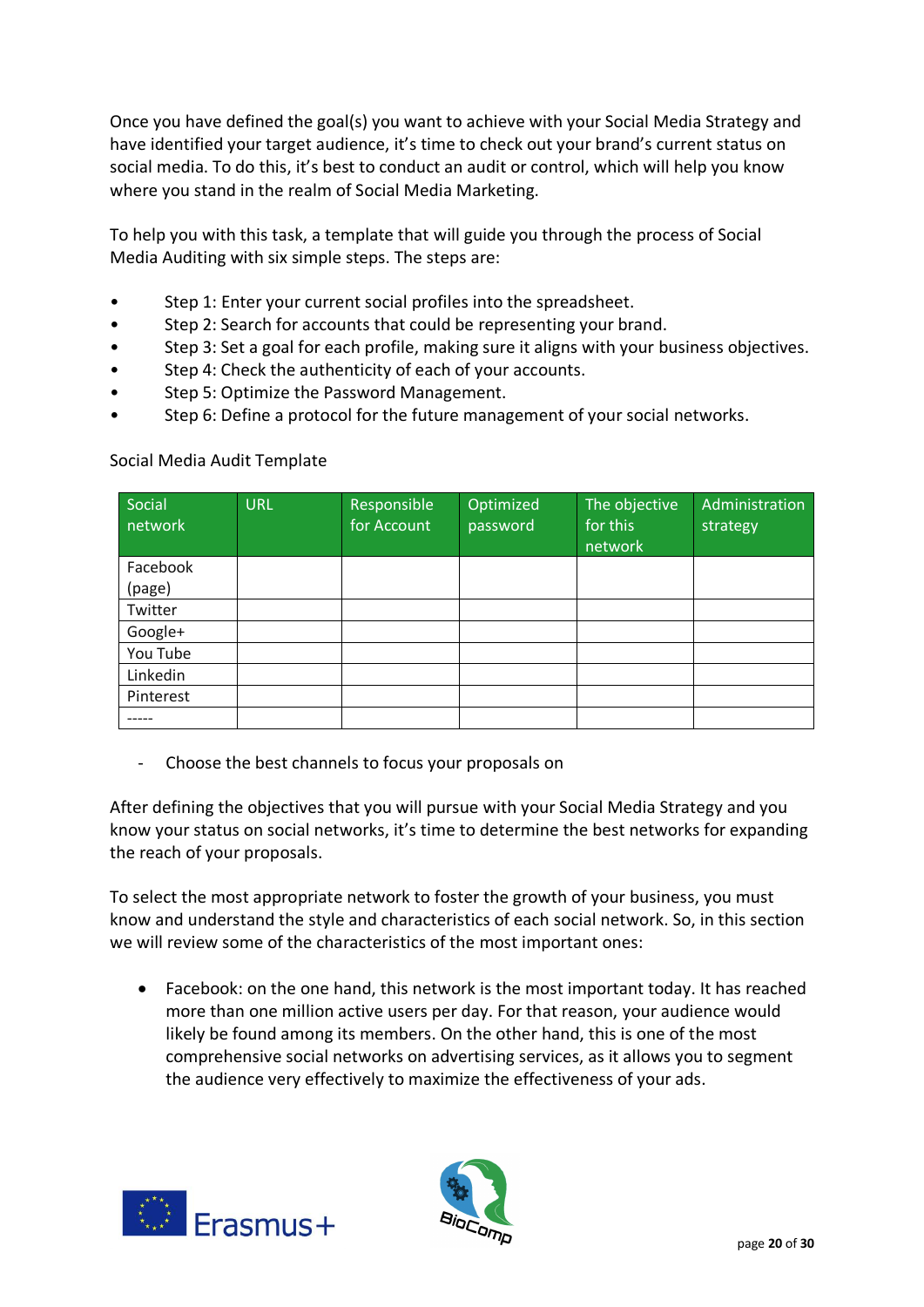Once you have defined the goal(s) you want to achieve with your Social Media Strategy and have identified your target audience, it's time to check out your brand's current status on social media. To do this, it's best to conduct an audit or control, which will help you know where you stand in the realm of Social Media Marketing.

To help you with this task, a template that will guide you through the process of Social Media Auditing with six simple steps. The steps are:

- Step 1: Enter your current social profiles into the spreadsheet.
- Step 2: Search for accounts that could be representing your brand.
- Step 3: Set a goal for each profile, making sure it aligns with your business objectives.
- Step 4: Check the authenticity of each of your accounts.
- Step 5: Optimize the Password Management.
- Step 6: Define a protocol for the future management of your social networks.

| Social<br>network | <b>URL</b> | Responsible<br>for Account | Optimized<br>password | The objective<br>for this<br>network | Administration<br>strategy |
|-------------------|------------|----------------------------|-----------------------|--------------------------------------|----------------------------|
| Facebook          |            |                            |                       |                                      |                            |
| (page)            |            |                            |                       |                                      |                            |
| Twitter           |            |                            |                       |                                      |                            |
| Google+           |            |                            |                       |                                      |                            |
| You Tube          |            |                            |                       |                                      |                            |
| Linkedin          |            |                            |                       |                                      |                            |
| Pinterest         |            |                            |                       |                                      |                            |
|                   |            |                            |                       |                                      |                            |

## Social Media Audit Template

- Choose the best channels to focus your proposals on

After defining the objectives that you will pursue with your Social Media Strategy and you know your status on social networks, it's time to determine the best networks for expanding the reach of your proposals.

To select the most appropriate network to foster the growth of your business, you must know and understand the style and characteristics of each social network. So, in this section we will review some of the characteristics of the most important ones:

• Facebook: on the one hand, this network is the most important today. It has reached more than one million active users per day. For that reason, your audience would likely be found among its members. On the other hand, this is one of the most comprehensive social networks on advertising services, as it allows you to segment the audience very effectively to maximize the effectiveness of your ads.



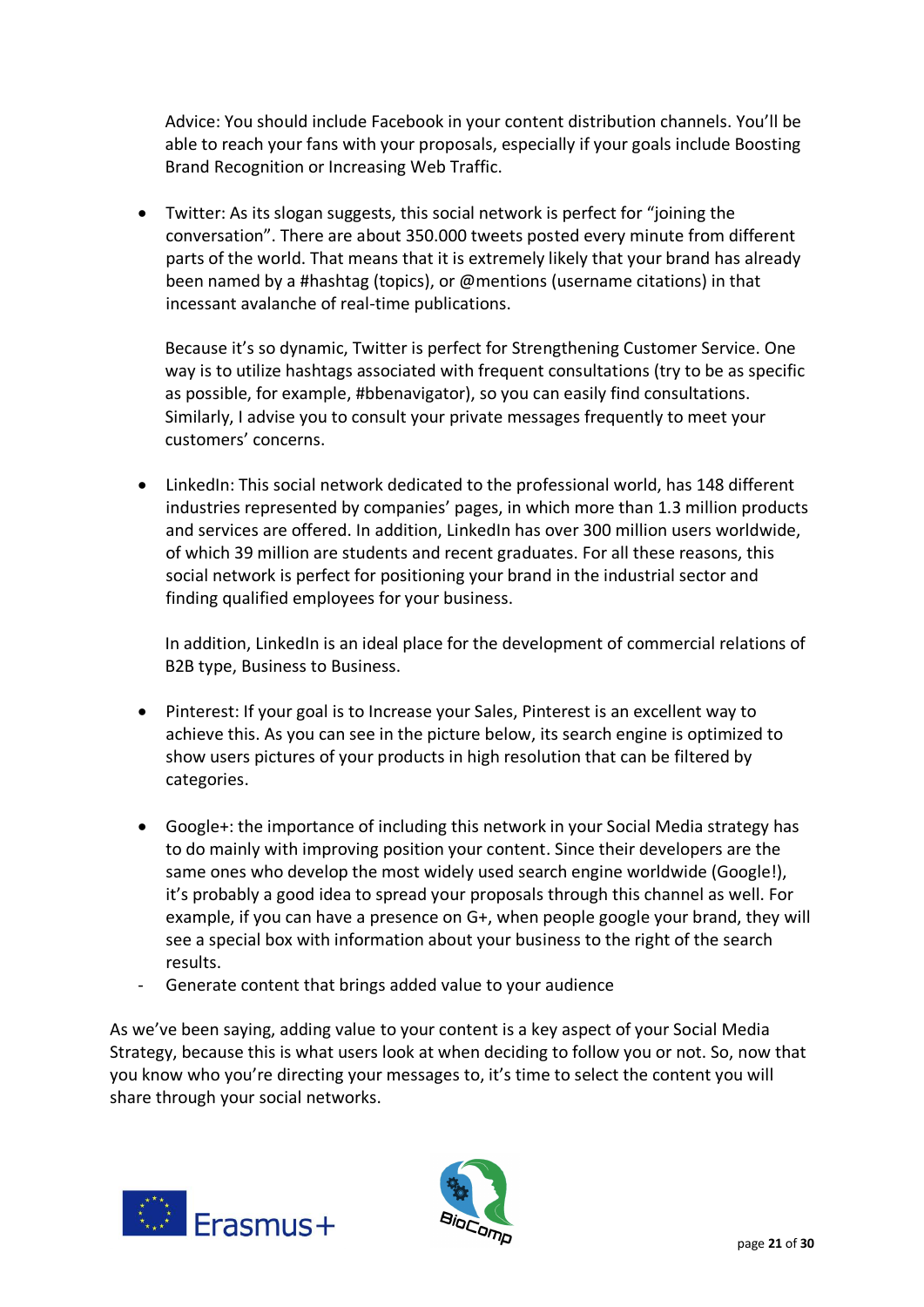Advice: You should include Facebook in your content distribution channels. You'll be able to reach your fans with your proposals, especially if your goals include Boosting Brand Recognition or Increasing Web Traffic.

• Twitter: As its slogan suggests, this social network is perfect for "joining the conversation". There are about 350.000 tweets posted every minute from different parts of the world. That means that it is extremely likely that your brand has already been named by a #hashtag (topics), or @mentions (username citations) in that incessant avalanche of real-time publications.

Because it's so dynamic, Twitter is perfect for Strengthening Customer Service. One way is to utilize hashtags associated with frequent consultations (try to be as specific as possible, for example, #bbenavigator), so you can easily find consultations. Similarly, I advise you to consult your private messages frequently to meet your customers' concerns.

• LinkedIn: This social network dedicated to the professional world, has 148 different industries represented by companies' pages, in which more than 1.3 million products and services are offered. In addition, LinkedIn has over 300 million users worldwide, of which 39 million are students and recent graduates. For all these reasons, this social network is perfect for positioning your brand in the industrial sector and finding qualified employees for your business.

In addition, LinkedIn is an ideal place for the development of commercial relations of B2B type, Business to Business.

- Pinterest: If your goal is to Increase your Sales, Pinterest is an excellent way to achieve this. As you can see in the picture below, its search engine is optimized to show users pictures of your products in high resolution that can be filtered by categories.
- Google+: the importance of including this network in your Social Media strategy has to do mainly with improving position your content. Since their developers are the same ones who develop the most widely used search engine worldwide (Google!), it's probably a good idea to spread your proposals through this channel as well. For example, if you can have a presence on G+, when people google your brand, they will see a special box with information about your business to the right of the search results.
- Generate content that brings added value to your audience

As we've been saying, adding value to your content is a key aspect of your Social Media Strategy, because this is what users look at when deciding to follow you or not. So, now that you know who you're directing your messages to, it's time to select the content you will share through your social networks.



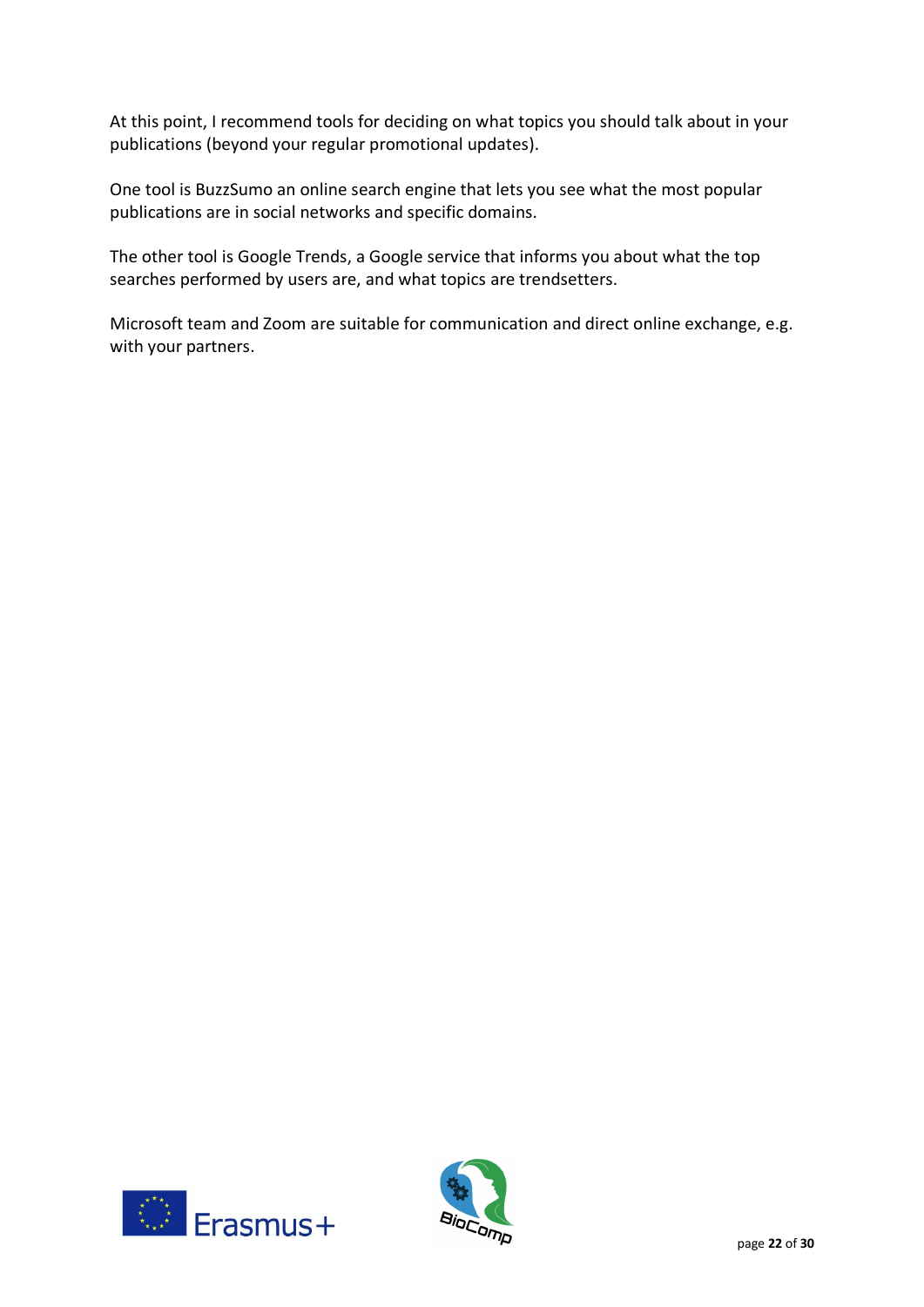At this point, I recommend tools for deciding on what topics you should talk about in your publications (beyond your regular promotional updates).

One tool is BuzzSumo an online search engine that lets you see what the most popular publications are in social networks and specific domains.

The other tool is Google Trends, a Google service that informs you about what the top searches performed by users are, and what topics are trendsetters.

Microsoft team and Zoom are suitable for communication and direct online exchange, e.g. with your partners.



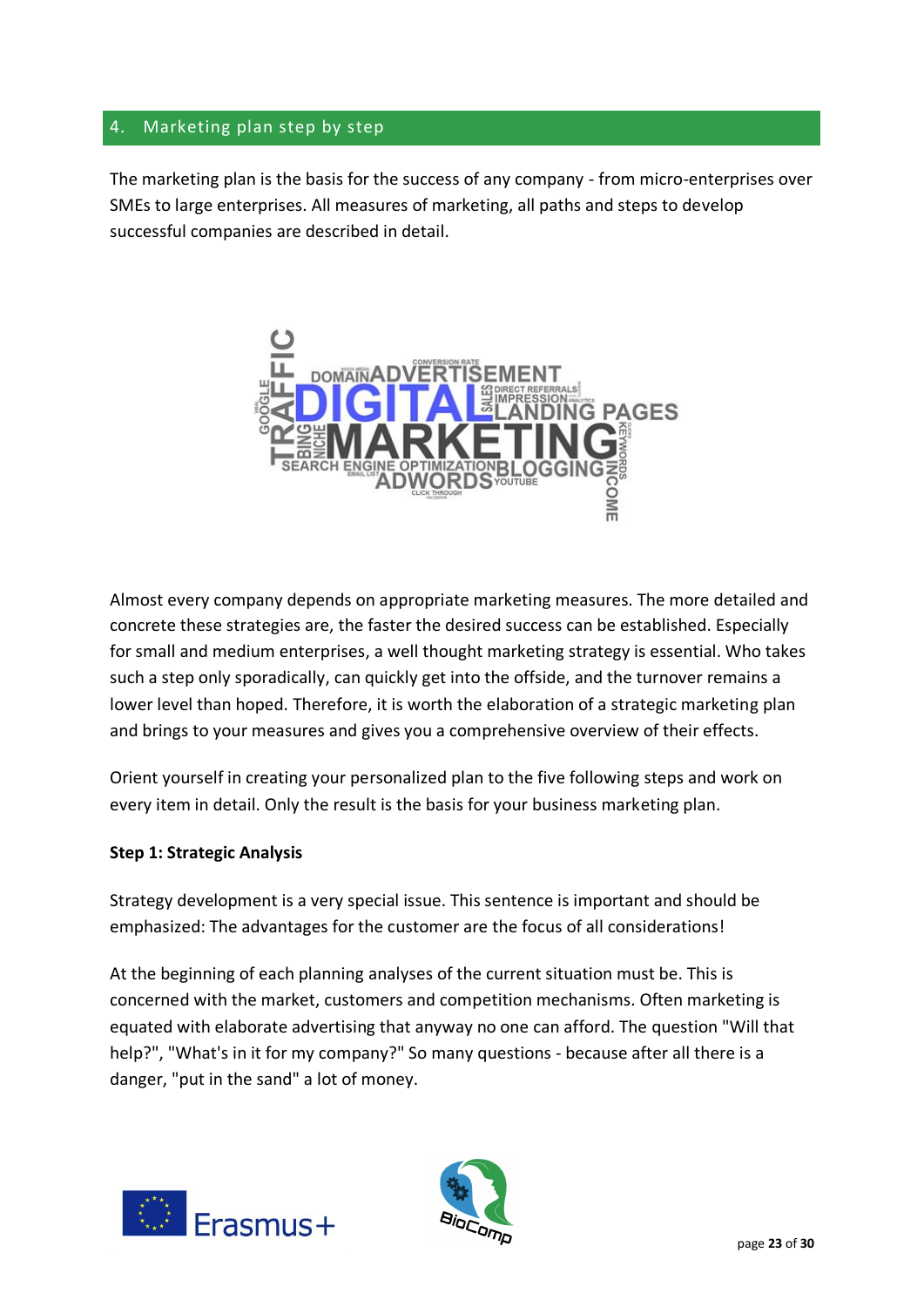# 4. Marketing plan step by step

The marketing plan is the basis for the success of any company - from micro-enterprises over SMEs to large enterprises. All measures of marketing, all paths and steps to develop successful companies are described in detail.



Almost every company depends on appropriate marketing measures. The more detailed and concrete these strategies are, the faster the desired success can be established. Especially for small and medium enterprises, a well thought marketing strategy is essential. Who takes such a step only sporadically, can quickly get into the offside, and the turnover remains a lower level than hoped. Therefore, it is worth the elaboration of a strategic marketing plan and brings to your measures and gives you a comprehensive overview of their effects.

Orient yourself in creating your personalized plan to the five following steps and work on every item in detail. Only the result is the basis for your business marketing plan.

## **Step 1: Strategic Analysis**

Strategy development is a very special issue. This sentence is important and should be emphasized: The advantages for the customer are the focus of all considerations!

At the beginning of each planning analyses of the current situation must be. This is concerned with the market, customers and competition mechanisms. Often marketing is equated with elaborate advertising that anyway no one can afford. The question "Will that help?", "What's in it for my company?" So many questions - because after all there is a danger, "put in the sand" a lot of money.



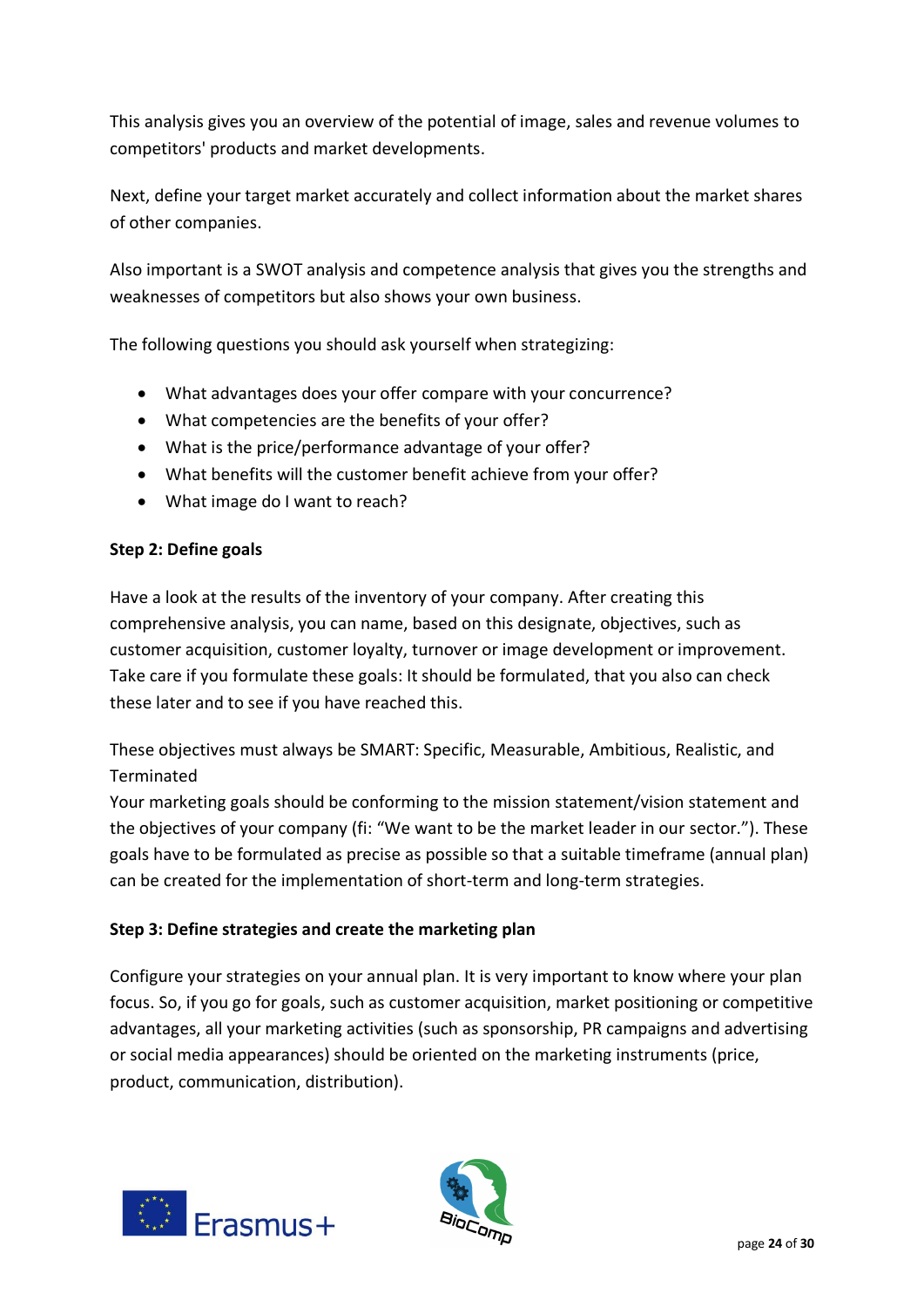This analysis gives you an overview of the potential of image, sales and revenue volumes to competitors' products and market developments.

Next, define your target market accurately and collect information about the market shares of other companies.

Also important is a SWOT analysis and competence analysis that gives you the strengths and weaknesses of competitors but also shows your own business.

The following questions you should ask yourself when strategizing:

- What advantages does your offer compare with your concurrence?
- What competencies are the benefits of your offer?
- What is the price/performance advantage of your offer?
- What benefits will the customer benefit achieve from your offer?
- What image do I want to reach?

## **Step 2: Define goals**

Have a look at the results of the inventory of your company. After creating this comprehensive analysis, you can name, based on this designate, objectives, such as customer acquisition, customer loyalty, turnover or image development or improvement. Take care if you formulate these goals: It should be formulated, that you also can check these later and to see if you have reached this.

These objectives must always be SMART: Specific, Measurable, Ambitious, Realistic, and **Terminated** 

Your marketing goals should be conforming to the mission statement/vision statement and the objectives of your company (fi: "We want to be the market leader in our sector."). These goals have to be formulated as precise as possible so that a suitable timeframe (annual plan) can be created for the implementation of short-term and long-term strategies.

## **Step 3: Define strategies and create the marketing plan**

Configure your strategies on your annual plan. It is very important to know where your plan focus. So, if you go for goals, such as customer acquisition, market positioning or competitive advantages, all your marketing activities (such as sponsorship, PR campaigns and advertising or social media appearances) should be oriented on the marketing instruments (price, product, communication, distribution).



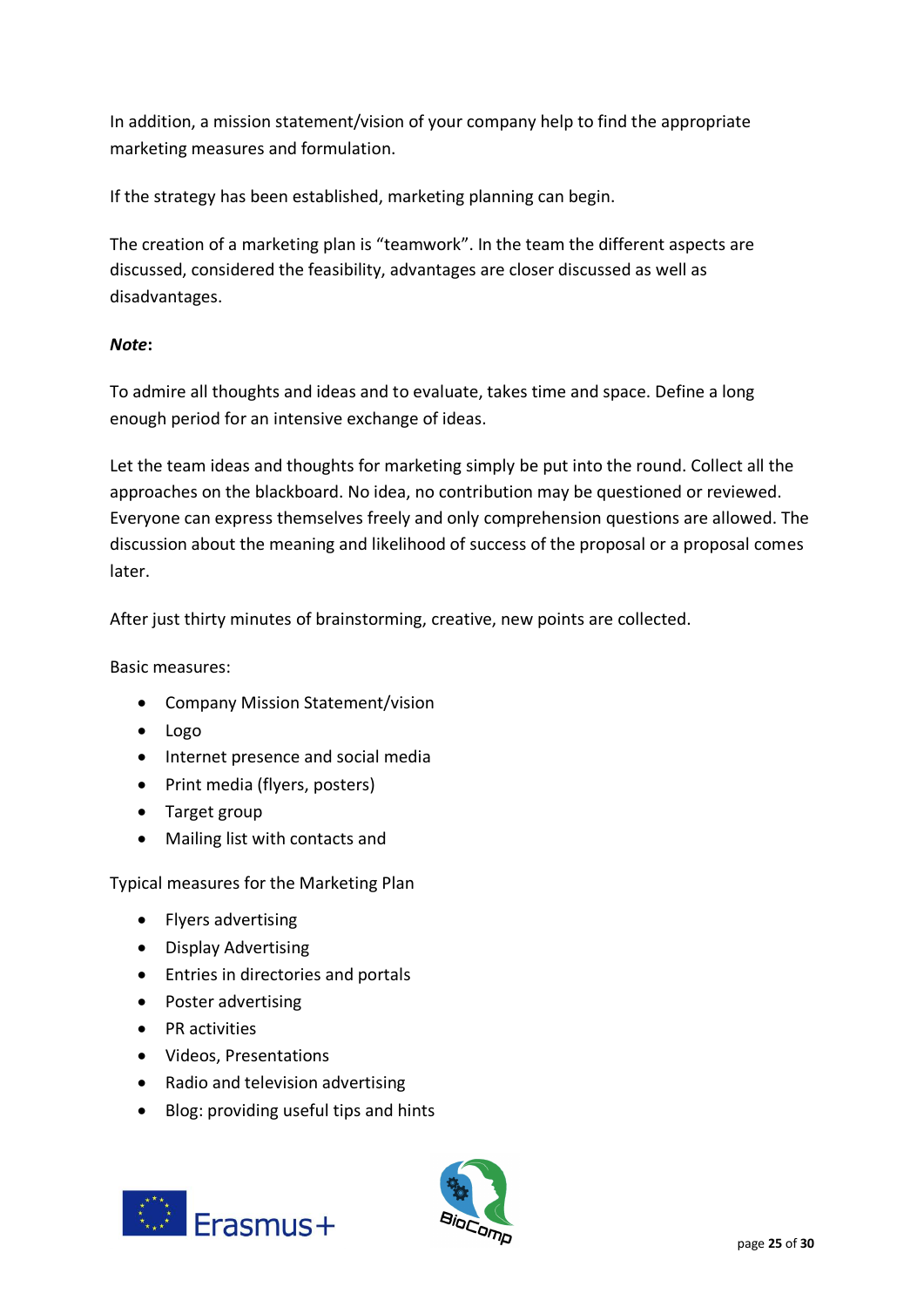In addition, a mission statement/vision of your company help to find the appropriate marketing measures and formulation.

If the strategy has been established, marketing planning can begin.

The creation of a marketing plan is "teamwork". In the team the different aspects are discussed, considered the feasibility, advantages are closer discussed as well as disadvantages.

# *Note***:**

To admire all thoughts and ideas and to evaluate, takes time and space. Define a long enough period for an intensive exchange of ideas.

Let the team ideas and thoughts for marketing simply be put into the round. Collect all the approaches on the blackboard. No idea, no contribution may be questioned or reviewed. Everyone can express themselves freely and only comprehension questions are allowed. The discussion about the meaning and likelihood of success of the proposal or a proposal comes later.

After just thirty minutes of brainstorming, creative, new points are collected.

Basic measures:

- Company Mission Statement/vision
- Logo
- Internet presence and social media
- Print media (flyers, posters)
- Target group
- Mailing list with contacts and

Typical measures for the Marketing Plan

- Flyers advertising
- Display Advertising
- Entries in directories and portals
- Poster advertising
- PR activities
- Videos, Presentations
- Radio and television advertising
- Blog: providing useful tips and hints



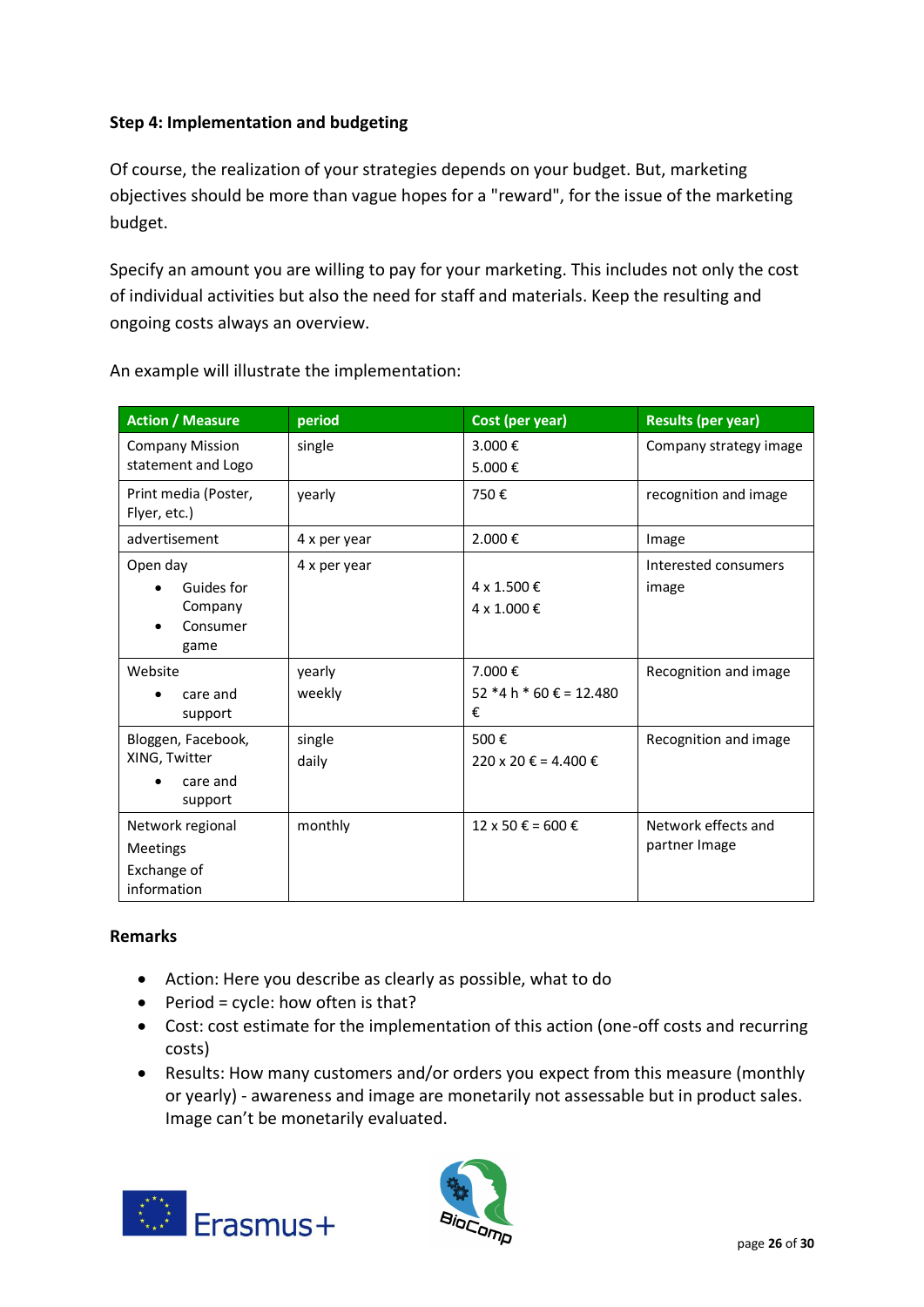# **Step 4: Implementation and budgeting**

Of course, the realization of your strategies depends on your budget. But, marketing objectives should be more than vague hopes for a "reward", for the issue of the marketing budget.

Specify an amount you are willing to pay for your marketing. This includes not only the cost of individual activities but also the need for staff and materials. Keep the resulting and ongoing costs always an overview.

| <b>Action / Measure</b>                                           | period           | Cost (per year)                          | <b>Results (per year)</b>            |
|-------------------------------------------------------------------|------------------|------------------------------------------|--------------------------------------|
| <b>Company Mission</b><br>statement and Logo                      | single           | 3.000€<br>5.000€                         | Company strategy image               |
| Print media (Poster,<br>Flyer, etc.)                              | vearly           | 750€                                     | recognition and image                |
| advertisement                                                     | 4 x per year     | 2.000€                                   | Image                                |
| Open day<br>Guides for<br>Company<br>Consumer<br>game             | 4 x per year     | 4 x 1.500 €<br>4 x 1.000 €               | Interested consumers<br>image        |
| Website<br>care and<br>support                                    | yearly<br>weekly | 7.000€<br>52 $*4 h * 60 \t∈ 12.480$<br>€ | Recognition and image                |
| Bloggen, Facebook,<br>XING, Twitter<br>care and<br>support        | single<br>daily  | 500€<br>220 x 20 € = 4.400 €             | Recognition and image                |
| Network regional<br><b>Meetings</b><br>Exchange of<br>information | monthly          | 12 x 50 € = 600 €                        | Network effects and<br>partner Image |

An example will illustrate the implementation:

## **Remarks**

- Action: Here you describe as clearly as possible, what to do
- $\bullet$  Period = cycle: how often is that?
- Cost: cost estimate for the implementation of this action (one-off costs and recurring costs)
- Results: How many customers and/or orders you expect from this measure (monthly or yearly) - awareness and image are monetarily not assessable but in product sales. Image can't be monetarily evaluated.



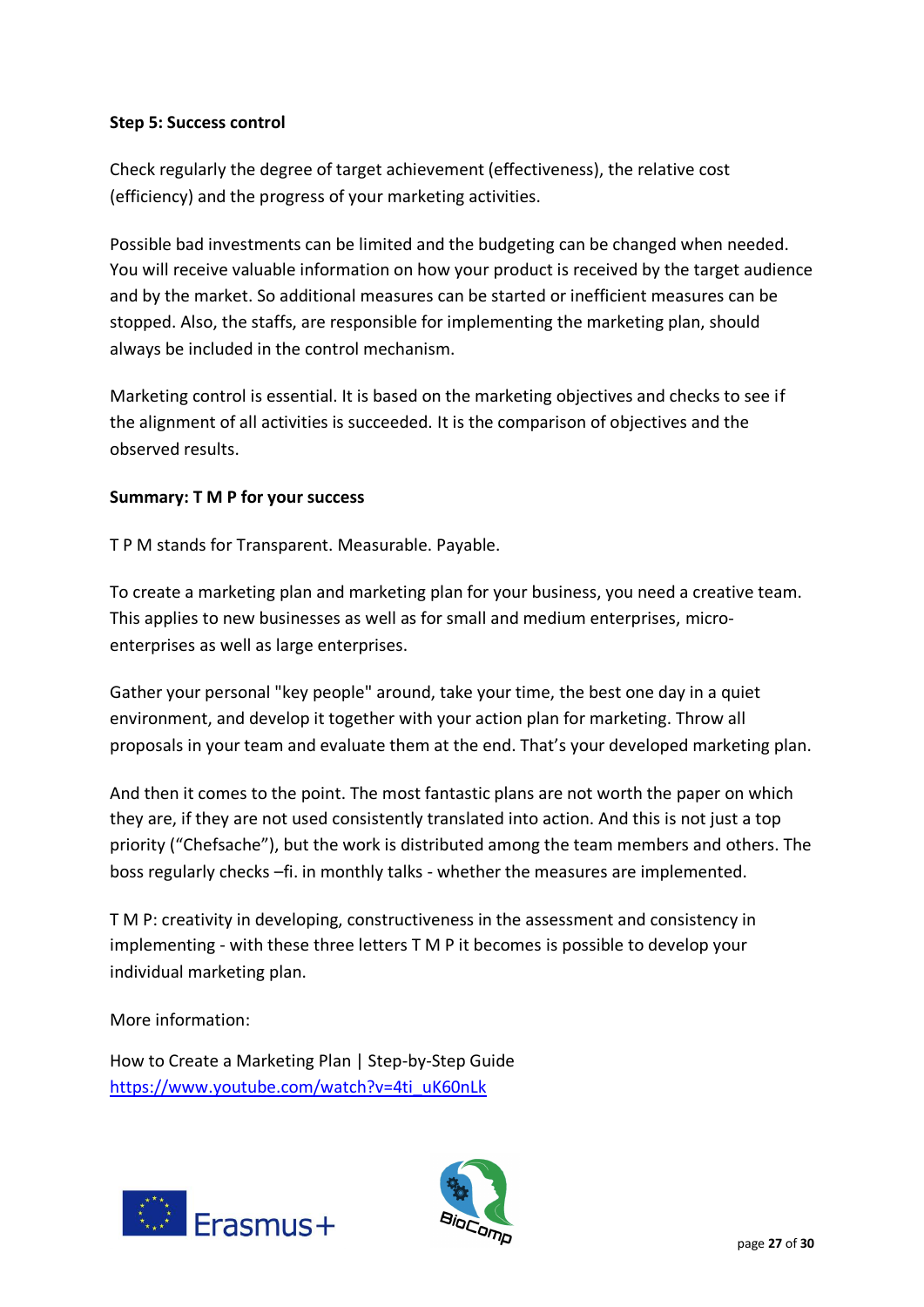#### **Step 5: Success control**

Check regularly the degree of target achievement (effectiveness), the relative cost (efficiency) and the progress of your marketing activities.

Possible bad investments can be limited and the budgeting can be changed when needed. You will receive valuable information on how your product is received by the target audience and by the market. So additional measures can be started or inefficient measures can be stopped. Also, the staffs, are responsible for implementing the marketing plan, should always be included in the control mechanism.

Marketing control is essential. It is based on the marketing objectives and checks to see if the alignment of all activities is succeeded. It is the comparison of objectives and the observed results.

## **Summary: T M P for your success**

T P M stands for Transparent. Measurable. Payable.

To create a marketing plan and marketing plan for your business, you need a creative team. This applies to new businesses as well as for small and medium enterprises, microenterprises as well as large enterprises.

Gather your personal "key people" around, take your time, the best one day in a quiet environment, and develop it together with your action plan for marketing. Throw all proposals in your team and evaluate them at the end. That's your developed marketing plan.

And then it comes to the point. The most fantastic plans are not worth the paper on which they are, if they are not used consistently translated into action. And this is not just a top priority ("Chefsache"), but the work is distributed among the team members and others. The boss regularly checks –fi. in monthly talks - whether the measures are implemented.

T M P: creativity in developing, constructiveness in the assessment and consistency in implementing - with these three letters T M P it becomes is possible to develop your individual marketing plan.

More information:

How to Create a Marketing Plan | Step-by-Step Guide [https://www.youtube.com/watch?v=4ti\\_uK60nLk](https://www.youtube.com/watch?v=4ti_uK60nLk)



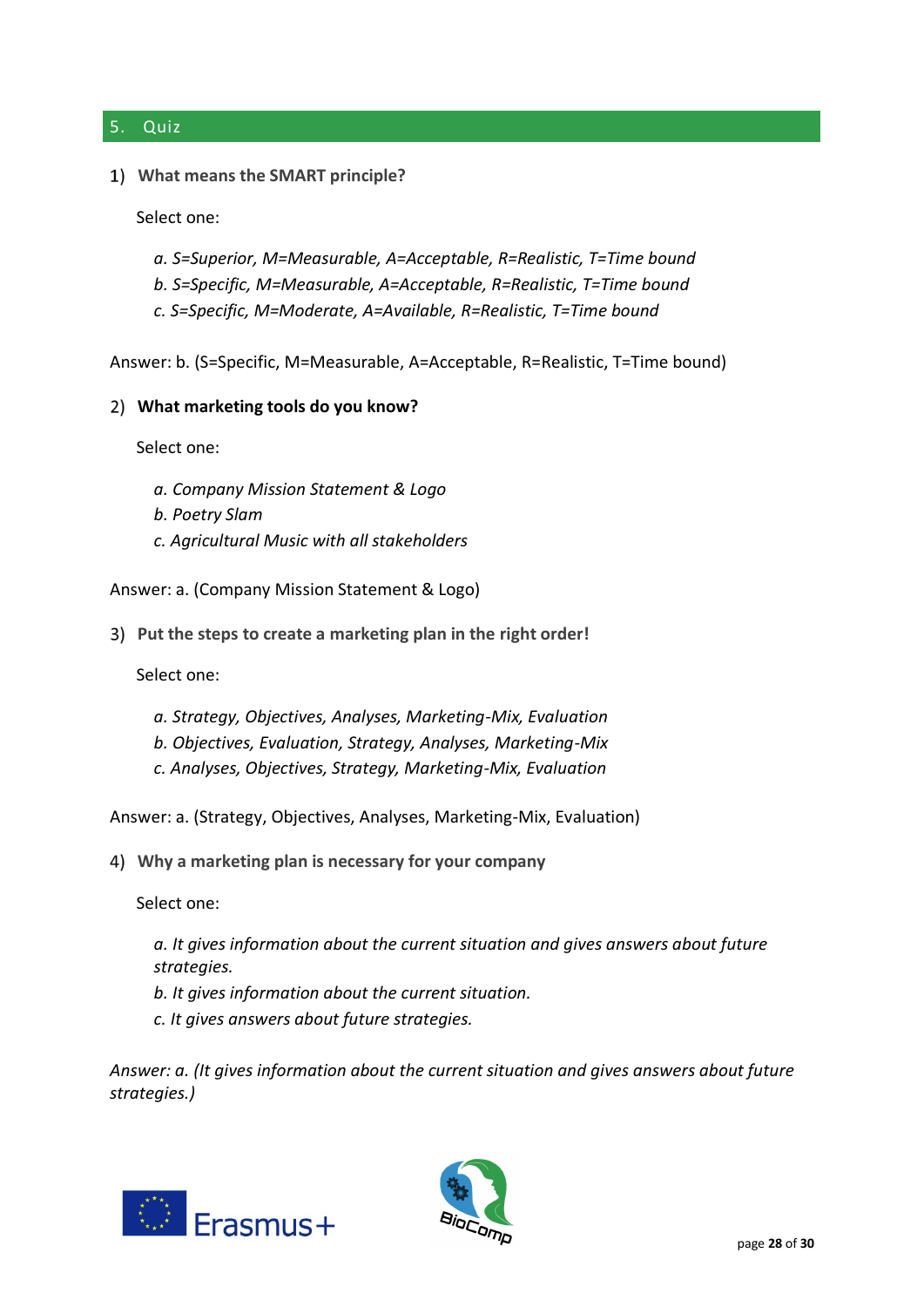#### 5. Quiz

#### **What means the SMART principle?**

Select one:

- *a. S=Superior, M=Measurable, A=Acceptable, R=Realistic, T=Time bound*
- *b. S=Specific, M=Measurable, A=Acceptable, R=Realistic, T=Time bound*
- *c. S=Specific, M=Moderate, A=Available, R=Realistic, T=Time bound*

Answer: b. (S=Specific, M=Measurable, A=Acceptable, R=Realistic, T=Time bound)

#### **What marketing tools do you know?**

Select one:

- *a. Company Mission Statement & Logo*
- *b. Poetry Slam*
- *c. Agricultural Music with all stakeholders*

Answer: a. (Company Mission Statement & Logo)

**Put the steps to create a marketing plan in the right order!**

Select one:

- *a. Strategy, Objectives, Analyses, Marketing-Mix, Evaluation*
- *b. Objectives, Evaluation, Strategy, Analyses, Marketing-Mix*
- *c. Analyses, Objectives, Strategy, Marketing-Mix, Evaluation*

Answer: a. (Strategy, Objectives, Analyses, Marketing-Mix, Evaluation)

**Why a marketing plan is necessary for your company**

Select one:

- *a. It gives information about the current situation and gives answers about future strategies.*
- *b. It gives information about the current situation.*
- *c. It gives answers about future strategies.*

*Answer: a. (It gives information about the current situation and gives answers about future strategies.)*



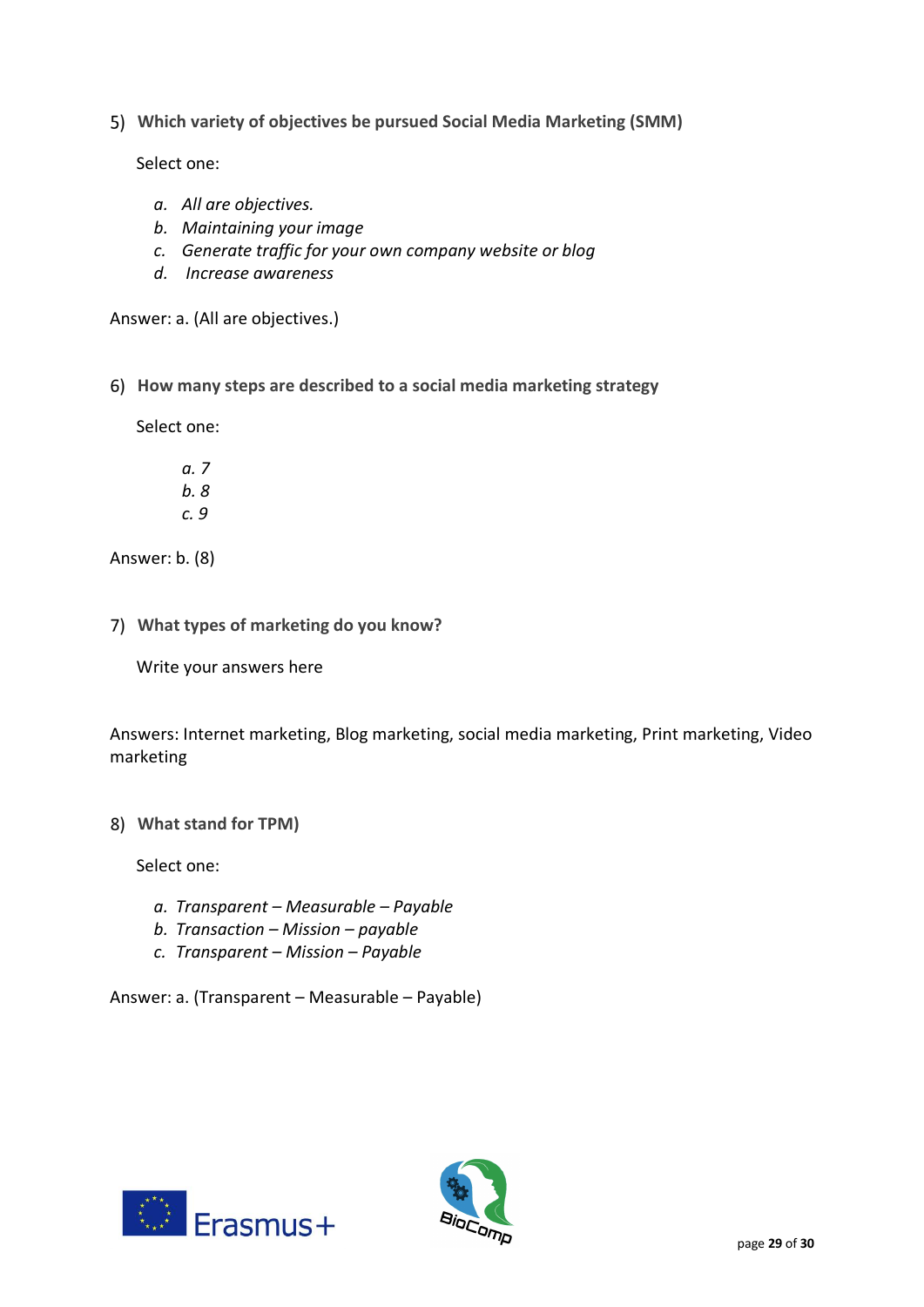**Which variety of objectives be pursued Social Media Marketing (SMM)**

Select one:

- *a. All are objectives.*
- *b. Maintaining your image*
- *c. Generate traffic for your own company website or blog*
- *d. Increase awareness*

Answer: a. (All are objectives.)

**How many steps are described to a social media marketing strategy**

Select one:

*a. 7 b. 8 c. 9*

Answer: b. (8)

**What types of marketing do you know?**

Write your answers here

Answers: Internet marketing, Blog marketing, social media marketing, Print marketing, Video marketing

**What stand for TPM)**

Select one:

- *a. Transparent – Measurable – Payable*
- *b. Transaction – Mission – payable*
- *c. Transparent – Mission – Payable*

Answer: a. (Transparent – Measurable – Payable)